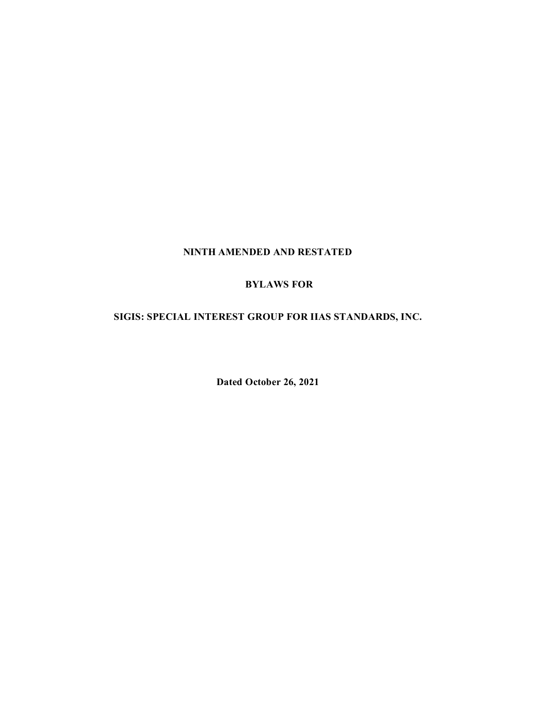## **NINTH AMENDED AND RESTATED**

## **BYLAWS FOR**

## **SIGIS: SPECIAL INTEREST GROUP FOR IIAS STANDARDS, INC.**

**Dated October 26, 2021**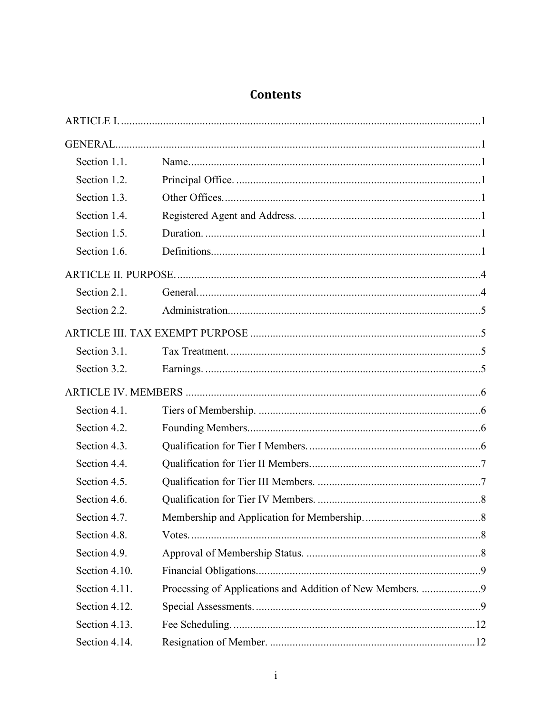# **Contents**

| Section 1.1.  |                                                           |  |
|---------------|-----------------------------------------------------------|--|
| Section 1.2.  |                                                           |  |
| Section 1.3.  |                                                           |  |
| Section 1.4.  |                                                           |  |
| Section 1.5.  |                                                           |  |
| Section 1.6.  |                                                           |  |
|               |                                                           |  |
| Section 2.1.  |                                                           |  |
| Section 2.2.  |                                                           |  |
|               |                                                           |  |
| Section 3.1.  |                                                           |  |
| Section 3.2.  |                                                           |  |
|               |                                                           |  |
| Section 4.1.  |                                                           |  |
| Section 4.2.  |                                                           |  |
| Section 4.3.  |                                                           |  |
| Section 4.4.  |                                                           |  |
| Section 4.5.  |                                                           |  |
| Section 4.6.  |                                                           |  |
| Section 4.7.  |                                                           |  |
| Section 4.8.  |                                                           |  |
| Section 4.9.  |                                                           |  |
| Section 4.10. |                                                           |  |
| Section 4.11. | Processing of Applications and Addition of New Members. 9 |  |
| Section 4.12. |                                                           |  |
| Section 4.13. |                                                           |  |
| Section 4.14. |                                                           |  |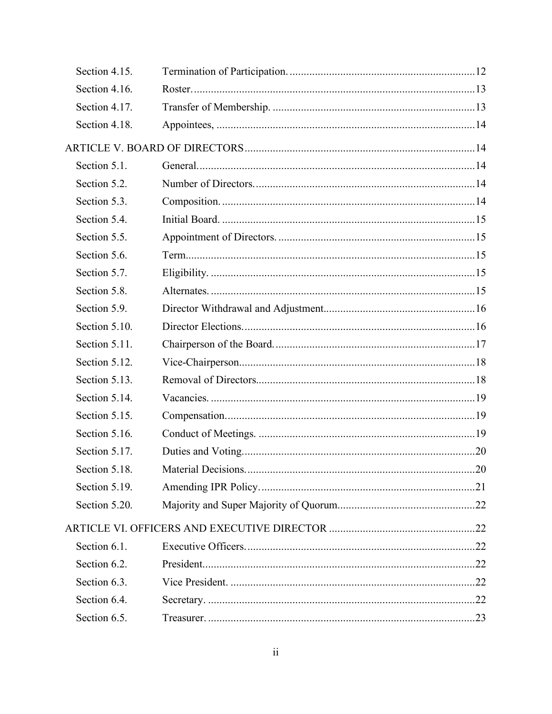| Section 4.15. |  |
|---------------|--|
| Section 4.16. |  |
| Section 4.17. |  |
| Section 4.18. |  |
|               |  |
| Section 5.1.  |  |
| Section 5.2.  |  |
| Section 5.3.  |  |
| Section 5.4.  |  |
| Section 5.5.  |  |
| Section 5.6.  |  |
| Section 5.7.  |  |
| Section 5.8.  |  |
| Section 5.9.  |  |
| Section 5.10. |  |
| Section 5.11. |  |
| Section 5.12. |  |
| Section 5.13. |  |
| Section 5.14. |  |
| Section 5.15. |  |
| Section 5.16. |  |
| Section 5.17. |  |
| Section 5.18. |  |
| Section 5.19. |  |
| Section 5.20. |  |
|               |  |
| Section 6.1.  |  |
| Section 6.2.  |  |
| Section 6.3.  |  |
| Section 6.4.  |  |
| Section 6.5.  |  |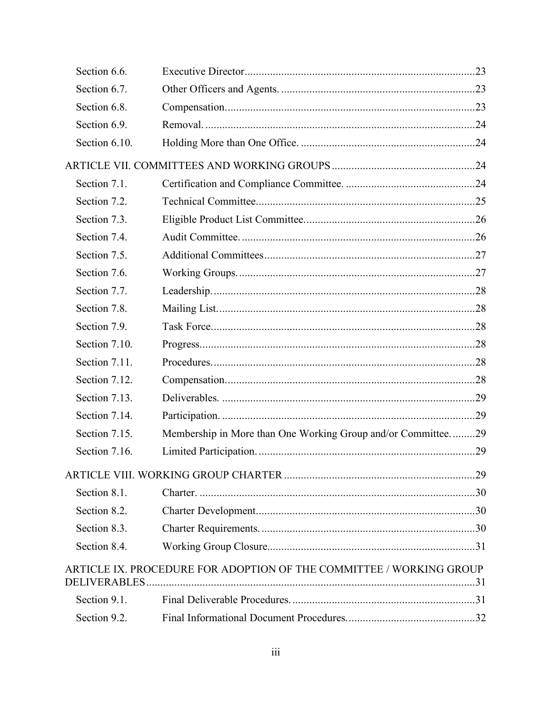| Section 6.6.  |                                                                     |  |
|---------------|---------------------------------------------------------------------|--|
| Section 6.7.  |                                                                     |  |
| Section 6.8.  |                                                                     |  |
| Section 6.9.  |                                                                     |  |
| Section 6.10. |                                                                     |  |
|               |                                                                     |  |
| Section 7.1.  |                                                                     |  |
| Section 7.2.  |                                                                     |  |
| Section 7.3.  |                                                                     |  |
| Section 7.4.  |                                                                     |  |
| Section 7.5.  |                                                                     |  |
| Section 7.6.  |                                                                     |  |
| Section 7.7.  |                                                                     |  |
| Section 7.8.  |                                                                     |  |
| Section 7.9.  |                                                                     |  |
| Section 7.10. |                                                                     |  |
| Section 7.11. |                                                                     |  |
| Section 7.12. |                                                                     |  |
| Section 7.13. |                                                                     |  |
| Section 7.14. |                                                                     |  |
| Section 7.15. | Membership in More than One Working Group and/or Committee29        |  |
| Section 7.16. |                                                                     |  |
|               |                                                                     |  |
| Section 8.1.  |                                                                     |  |
| Section 8.2.  |                                                                     |  |
| Section 8.3.  |                                                                     |  |
| Section 8.4.  |                                                                     |  |
|               | ARTICLE IX. PROCEDURE FOR ADOPTION OF THE COMMITTEE / WORKING GROUP |  |
|               |                                                                     |  |
| Section 9.1.  |                                                                     |  |
| Section 9.2.  |                                                                     |  |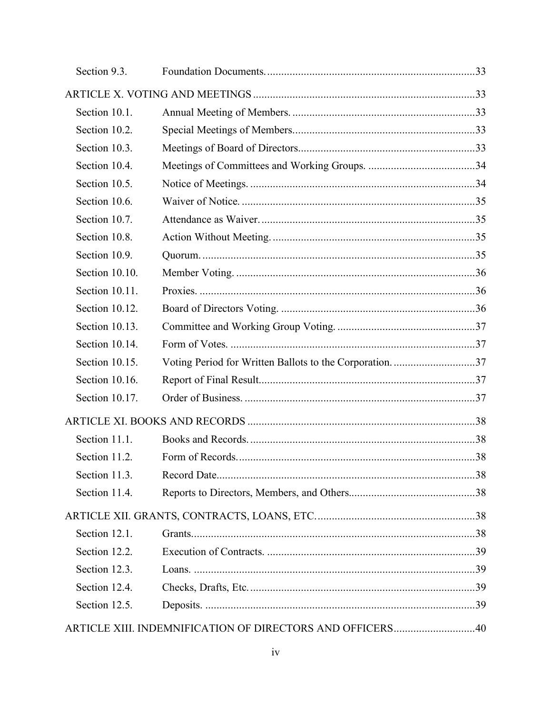| Section 9.3.   |                                                        |  |  |  |
|----------------|--------------------------------------------------------|--|--|--|
|                |                                                        |  |  |  |
| Section 10.1.  |                                                        |  |  |  |
| Section 10.2.  |                                                        |  |  |  |
| Section 10.3.  |                                                        |  |  |  |
| Section 10.4.  |                                                        |  |  |  |
| Section 10.5.  |                                                        |  |  |  |
| Section 10.6.  |                                                        |  |  |  |
| Section 10.7.  |                                                        |  |  |  |
| Section 10.8.  |                                                        |  |  |  |
| Section 10.9.  |                                                        |  |  |  |
| Section 10.10. |                                                        |  |  |  |
| Section 10.11. |                                                        |  |  |  |
| Section 10.12. |                                                        |  |  |  |
| Section 10.13. |                                                        |  |  |  |
| Section 10.14. |                                                        |  |  |  |
| Section 10.15. | Voting Period for Written Ballots to the Corporation37 |  |  |  |
| Section 10.16. |                                                        |  |  |  |
| Section 10.17. |                                                        |  |  |  |
|                |                                                        |  |  |  |
| Section 11.1.  |                                                        |  |  |  |
| Section 11.2.  |                                                        |  |  |  |
| Section 11.3.  |                                                        |  |  |  |
| Section 11.4.  |                                                        |  |  |  |
|                |                                                        |  |  |  |
| Section 12.1.  |                                                        |  |  |  |
| Section 12.2.  |                                                        |  |  |  |
| Section 12.3.  |                                                        |  |  |  |
| Section 12.4.  |                                                        |  |  |  |
| Section 12.5.  |                                                        |  |  |  |
|                |                                                        |  |  |  |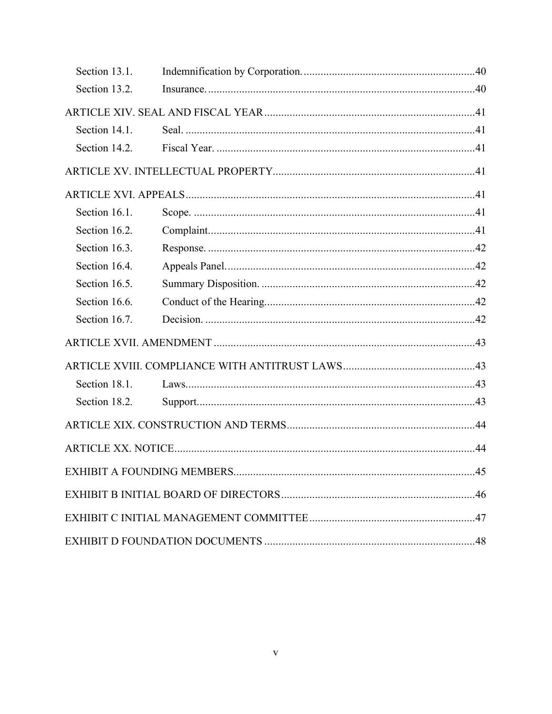| Section 13.1. |  |
|---------------|--|
| Section 13.2. |  |
|               |  |
| Section 14.1. |  |
| Section 14.2. |  |
|               |  |
|               |  |
| Section 16.1. |  |
| Section 16.2. |  |
| Section 16.3. |  |
| Section 16.4. |  |
| Section 16.5. |  |
| Section 16.6. |  |
| Section 16.7. |  |
|               |  |
|               |  |
| Section 18.1. |  |
| Section 18.2. |  |
|               |  |
|               |  |
|               |  |
|               |  |
|               |  |
|               |  |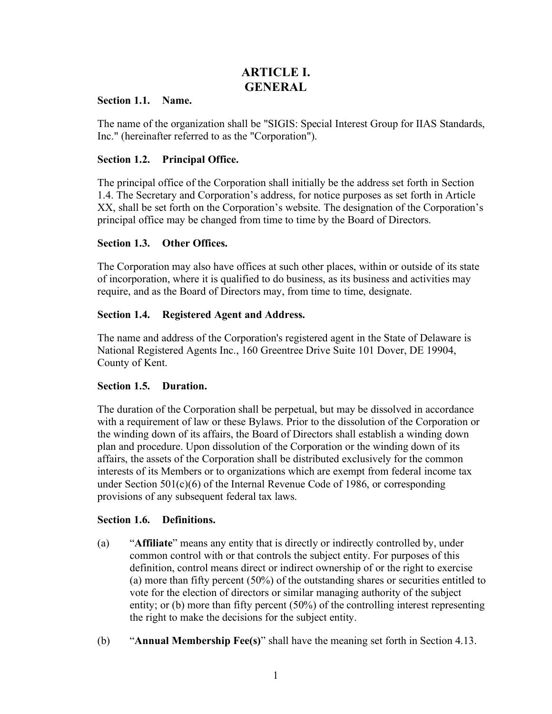## **ARTICLE I. GENERAL**

## <span id="page-6-2"></span><span id="page-6-1"></span><span id="page-6-0"></span>**Section 1.1. Name.**

The name of the organization shall be "SIGIS: Special Interest Group for IIAS Standards, Inc." (hereinafter referred to as the "Corporation").

## <span id="page-6-3"></span>**Section 1.2. Principal Office.**

The principal office of the Corporation shall initially be the address set forth in Section 1.4. The Secretary and Corporation's address, for notice purposes as set forth in Article XX, shall be set forth on the Corporation's website. The designation of the Corporation's principal office may be changed from time to time by the Board of Directors.

## <span id="page-6-4"></span>**Section 1.3. Other Offices.**

The Corporation may also have offices at such other places, within or outside of its state of incorporation, where it is qualified to do business, as its business and activities may require, and as the Board of Directors may, from time to time, designate.

## <span id="page-6-5"></span>**Section 1.4. Registered Agent and Address.**

The name and address of the Corporation's registered agent in the State of Delaware is National Registered Agents Inc., 160 Greentree Drive Suite 101 Dover, DE 19904, County of Kent.

## <span id="page-6-6"></span>**Section 1.5. Duration.**

The duration of the Corporation shall be perpetual, but may be dissolved in accordance with a requirement of law or these Bylaws. Prior to the dissolution of the Corporation or the winding down of its affairs, the Board of Directors shall establish a winding down plan and procedure. Upon dissolution of the Corporation or the winding down of its affairs, the assets of the Corporation shall be distributed exclusively for the common interests of its Members or to organizations which are exempt from federal income tax under Section  $501(c)(6)$  of the Internal Revenue Code of 1986, or corresponding provisions of any subsequent federal tax laws.

## <span id="page-6-7"></span>**Section 1.6. Definitions.**

- (a) "**Affiliate**" means any entity that is directly or indirectly controlled by, under common control with or that controls the subject entity. For purposes of this definition, control means direct or indirect ownership of or the right to exercise (a) more than fifty percent (50%) of the outstanding shares or securities entitled to vote for the election of directors or similar managing authority of the subject entity; or (b) more than fifty percent (50%) of the controlling interest representing the right to make the decisions for the subject entity.
- (b) "**Annual Membership Fee(s)**" shall have the meaning set forth in Section 4.13.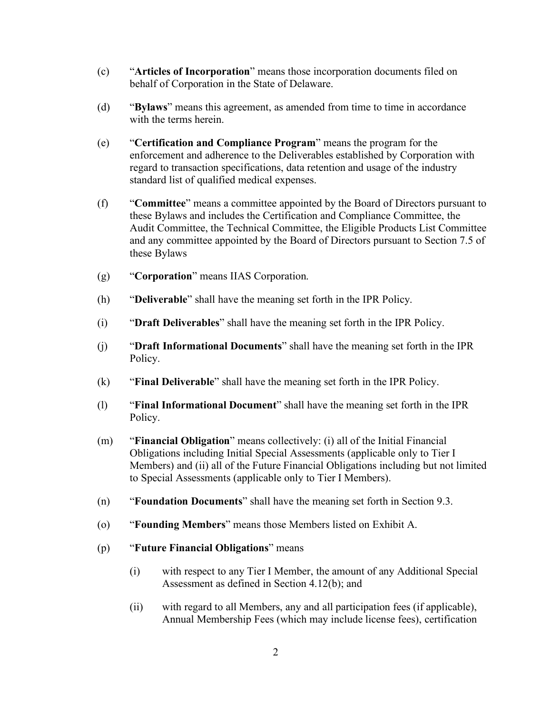- (c) "**Articles of Incorporation**" means those incorporation documents filed on behalf of Corporation in the State of Delaware.
- (d) "**Bylaws**" means this agreement, as amended from time to time in accordance with the terms herein.
- (e) "**Certification and Compliance Program**" means the program for the enforcement and adherence to the Deliverables established by Corporation with regard to transaction specifications, data retention and usage of the industry standard list of qualified medical expenses.
- (f) "**Committee**" means a committee appointed by the Board of Directors pursuant to these Bylaws and includes the Certification and Compliance Committee, the Audit Committee, the Technical Committee, the Eligible Products List Committee and any committee appointed by the Board of Directors pursuant to Section 7.5 of these Bylaws
- (g) "**Corporation**" means IIAS Corporation.
- (h) "**Deliverable**" shall have the meaning set forth in the IPR Policy.
- (i) "**Draft Deliverables**" shall have the meaning set forth in the IPR Policy.
- (j) "**Draft Informational Documents**" shall have the meaning set forth in the IPR Policy.
- (k) "**Final Deliverable**" shall have the meaning set forth in the IPR Policy.
- (l) "**Final Informational Document**" shall have the meaning set forth in the IPR Policy.
- (m) "**Financial Obligation**" means collectively: (i) all of the Initial Financial Obligations including Initial Special Assessments (applicable only to Tier I Members) and (ii) all of the Future Financial Obligations including but not limited to Special Assessments (applicable only to Tier I Members).
- (n) "**Foundation Documents**" shall have the meaning set forth in Section 9.3.
- (o) "**Founding Members**" means those Members listed on Exhibit A.
- (p) "**Future Financial Obligations**" means
	- (i) with respect to any Tier I Member, the amount of any Additional Special Assessment as defined in Section 4.12(b); and
	- (ii) with regard to all Members, any and all participation fees (if applicable), Annual Membership Fees (which may include license fees), certification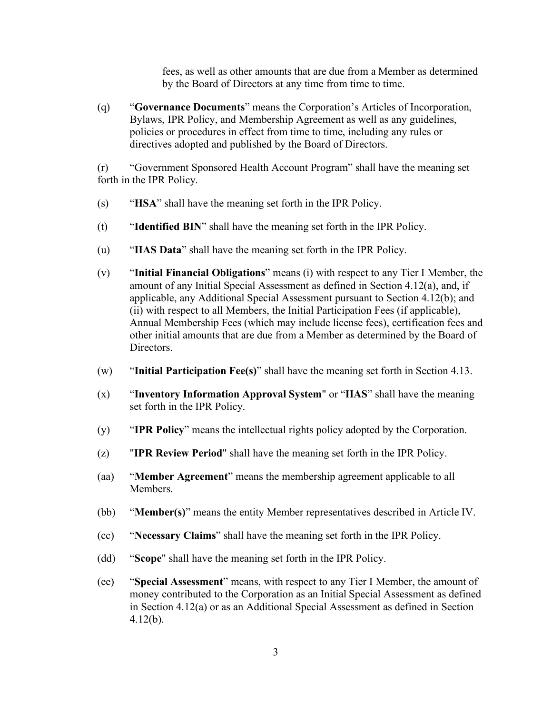fees, as well as other amounts that are due from a Member as determined by the Board of Directors at any time from time to time.

(q) "**Governance Documents**" means the Corporation's Articles of Incorporation, Bylaws, IPR Policy, and Membership Agreement as well as any guidelines, policies or procedures in effect from time to time, including any rules or directives adopted and published by the Board of Directors.

(r) "Government Sponsored Health Account Program" shall have the meaning set forth in the IPR Policy.

- (s) "**HSA**" shall have the meaning set forth in the IPR Policy.
- (t) "**Identified BIN**" shall have the meaning set forth in the IPR Policy.
- (u) "**IIAS Data**" shall have the meaning set forth in the IPR Policy.
- (v) "**Initial Financial Obligations**" means (i) with respect to any Tier I Member, the amount of any Initial Special Assessment as defined in Section 4.12(a), and, if applicable, any Additional Special Assessment pursuant to Section 4.12(b); and (ii) with respect to all Members, the Initial Participation Fees (if applicable), Annual Membership Fees (which may include license fees), certification fees and other initial amounts that are due from a Member as determined by the Board of Directors.
- (w) "**Initial Participation Fee(s)**" shall have the meaning set forth in Section 4.13.
- (x) "**Inventory Information Approval System**" or "**IIAS**" shall have the meaning set forth in the IPR Policy.
- (y) "**IPR Policy**" means the intellectual rights policy adopted by the Corporation.
- (z) "**IPR Review Period**" shall have the meaning set forth in the IPR Policy.
- (aa) "**Member Agreement**" means the membership agreement applicable to all Members.
- (bb) "**Member(s)**" means the entity Member representatives described in Article IV.
- (cc) "**Necessary Claims**" shall have the meaning set forth in the IPR Policy.
- (dd) "**Scope**" shall have the meaning set forth in the IPR Policy.
- (ee) "**Special Assessment**" means, with respect to any Tier I Member, the amount of money contributed to the Corporation as an Initial Special Assessment as defined in Section 4.12(a) or as an Additional Special Assessment as defined in Section 4.12(b).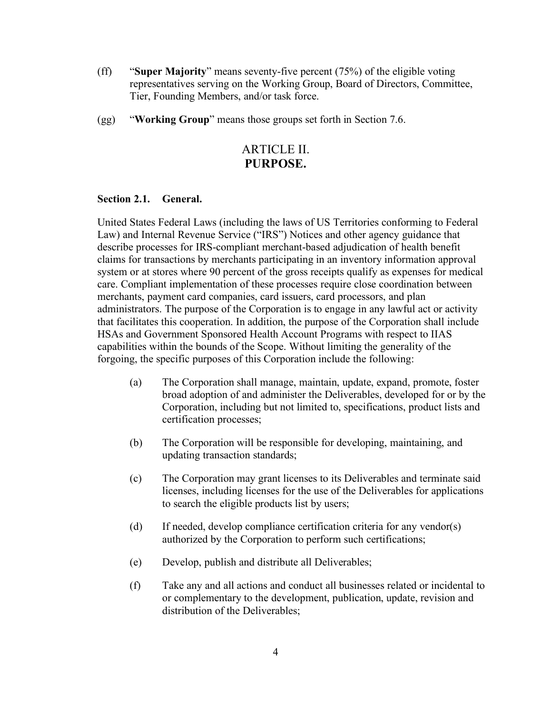- (ff) "**Super Majority**" means seventy-five percent (75%) of the eligible voting representatives serving on the Working Group, Board of Directors, Committee, Tier, Founding Members, and/or task force.
- (gg) "**Working Group**" means those groups set forth in Section 7.6.

## ARTICLE II. **PURPOSE.**

## <span id="page-9-1"></span><span id="page-9-0"></span>**Section 2.1. General.**

United States Federal Laws (including the laws of US Territories conforming to Federal Law) and Internal Revenue Service ("IRS") Notices and other agency guidance that describe processes for IRS-compliant merchant-based adjudication of health benefit claims for transactions by merchants participating in an inventory information approval system or at stores where 90 percent of the gross receipts qualify as expenses for medical care. Compliant implementation of these processes require close coordination between merchants, payment card companies, card issuers, card processors, and plan administrators. The purpose of the Corporation is to engage in any lawful act or activity that facilitates this cooperation. In addition, the purpose of the Corporation shall include HSAs and Government Sponsored Health Account Programs with respect to IIAS capabilities within the bounds of the Scope. Without limiting the generality of the forgoing, the specific purposes of this Corporation include the following:

- (a) The Corporation shall manage, maintain, update, expand, promote, foster broad adoption of and administer the Deliverables, developed for or by the Corporation, including but not limited to, specifications, product lists and certification processes;
- (b) The Corporation will be responsible for developing, maintaining, and updating transaction standards;
- (c) The Corporation may grant licenses to its Deliverables and terminate said licenses, including licenses for the use of the Deliverables for applications to search the eligible products list by users;
- (d) If needed, develop compliance certification criteria for any vendor(s) authorized by the Corporation to perform such certifications;
- (e) Develop, publish and distribute all Deliverables;
- (f) Take any and all actions and conduct all businesses related or incidental to or complementary to the development, publication, update, revision and distribution of the Deliverables;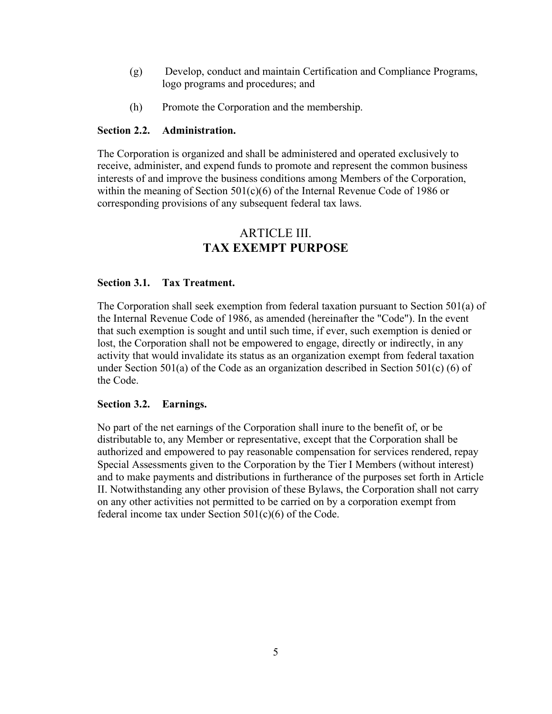- (g) Develop, conduct and maintain Certification and Compliance Programs, logo programs and procedures; and
- (h) Promote the Corporation and the membership.

## <span id="page-10-0"></span>**Section 2.2. Administration.**

The Corporation is organized and shall be administered and operated exclusively to receive, administer, and expend funds to promote and represent the common business interests of and improve the business conditions among Members of the Corporation, within the meaning of Section 501(c)(6) of the Internal Revenue Code of 1986 or corresponding provisions of any subsequent federal tax laws.

## ARTICLE III. **TAX EXEMPT PURPOSE**

## <span id="page-10-2"></span><span id="page-10-1"></span>**Section 3.1. Tax Treatment.**

The Corporation shall seek exemption from federal taxation pursuant to Section 501(a) of the Internal Revenue Code of 1986, as amended (hereinafter the "Code"). In the event that such exemption is sought and until such time, if ever, such exemption is denied or lost, the Corporation shall not be empowered to engage, directly or indirectly, in any activity that would invalidate its status as an organization exempt from federal taxation under Section 501(a) of the Code as an organization described in Section 501(c) (6) of the Code.

### <span id="page-10-3"></span>**Section 3.2. Earnings.**

No part of the net earnings of the Corporation shall inure to the benefit of, or be distributable to, any Member or representative, except that the Corporation shall be authorized and empowered to pay reasonable compensation for services rendered, repay Special Assessments given to the Corporation by the Tier I Members (without interest) and to make payments and distributions in furtherance of the purposes set forth in Article II. Notwithstanding any other provision of these Bylaws, the Corporation shall not carry on any other activities not permitted to be carried on by a corporation exempt from federal income tax under Section  $501(c)(6)$  of the Code.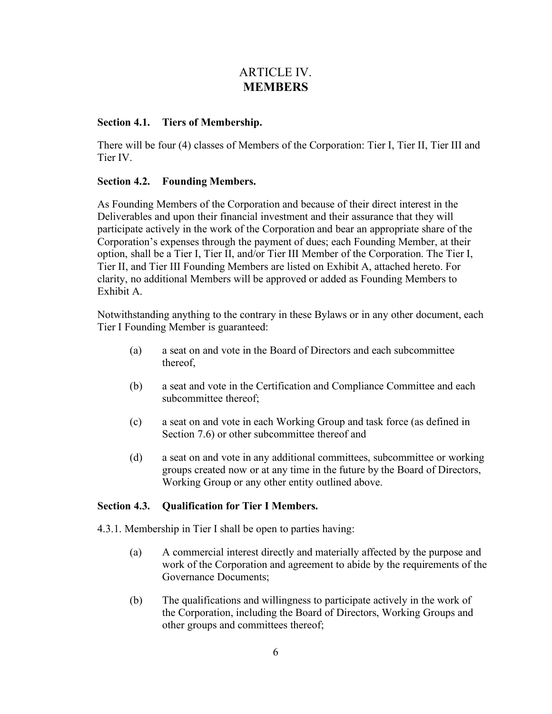## ARTICLE IV. **MEMBERS**

## <span id="page-11-1"></span><span id="page-11-0"></span>**Section 4.1. Tiers of Membership.**

There will be four (4) classes of Members of the Corporation: Tier I, Tier II, Tier III and Tier IV.

## <span id="page-11-2"></span>**Section 4.2. Founding Members.**

As Founding Members of the Corporation and because of their direct interest in the Deliverables and upon their financial investment and their assurance that they will participate actively in the work of the Corporation and bear an appropriate share of the Corporation's expenses through the payment of dues; each Founding Member, at their option, shall be a Tier I, Tier II, and/or Tier III Member of the Corporation. The Tier I, Tier II, and Tier III Founding Members are listed on Exhibit A, attached hereto. For clarity, no additional Members will be approved or added as Founding Members to Exhibit A.

Notwithstanding anything to the contrary in these Bylaws or in any other document, each Tier I Founding Member is guaranteed:

- (a) a seat on and vote in the Board of Directors and each subcommittee thereof,
- (b) a seat and vote in the Certification and Compliance Committee and each subcommittee thereof;
- (c) a seat on and vote in each Working Group and task force (as defined in Section 7.6) or other subcommittee thereof and
- (d) a seat on and vote in any additional committees, subcommittee or working groups created now or at any time in the future by the Board of Directors, Working Group or any other entity outlined above.

## <span id="page-11-3"></span>**Section 4.3. Qualification for Tier I Members.**

4.3.1. Membership in Tier I shall be open to parties having:

- (a) A commercial interest directly and materially affected by the purpose and work of the Corporation and agreement to abide by the requirements of the Governance Documents;
- (b) The qualifications and willingness to participate actively in the work of the Corporation, including the Board of Directors, Working Groups and other groups and committees thereof;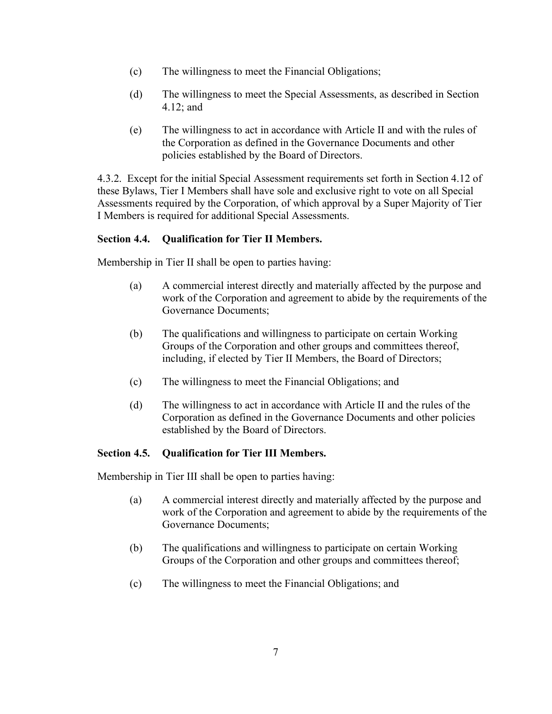- (c) The willingness to meet the Financial Obligations;
- (d) The willingness to meet the Special Assessments, as described in Section 4.12; and
- (e) The willingness to act in accordance with Article II and with the rules of the Corporation as defined in the Governance Documents and other policies established by the Board of Directors.

4.3.2. Except for the initial Special Assessment requirements set forth in Section 4.12 of these Bylaws, Tier I Members shall have sole and exclusive right to vote on all Special Assessments required by the Corporation, of which approval by a Super Majority of Tier I Members is required for additional Special Assessments.

## <span id="page-12-0"></span>**Section 4.4. Qualification for Tier II Members.**

Membership in Tier II shall be open to parties having:

- (a) A commercial interest directly and materially affected by the purpose and work of the Corporation and agreement to abide by the requirements of the Governance Documents;
- (b) The qualifications and willingness to participate on certain Working Groups of the Corporation and other groups and committees thereof, including, if elected by Tier II Members, the Board of Directors;
- (c) The willingness to meet the Financial Obligations; and
- (d) The willingness to act in accordance with Article II and the rules of the Corporation as defined in the Governance Documents and other policies established by the Board of Directors.

## <span id="page-12-1"></span>**Section 4.5. Qualification for Tier III Members.**

Membership in Tier III shall be open to parties having:

- (a) A commercial interest directly and materially affected by the purpose and work of the Corporation and agreement to abide by the requirements of the Governance Documents;
- (b) The qualifications and willingness to participate on certain Working Groups of the Corporation and other groups and committees thereof;
- (c) The willingness to meet the Financial Obligations; and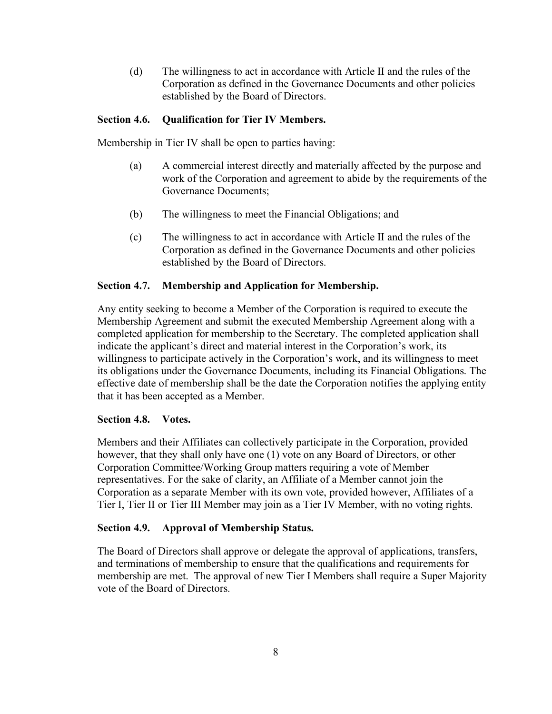(d) The willingness to act in accordance with Article II and the rules of the Corporation as defined in the Governance Documents and other policies established by the Board of Directors.

## <span id="page-13-0"></span>**Section 4.6. Qualification for Tier IV Members.**

Membership in Tier IV shall be open to parties having:

- (a) A commercial interest directly and materially affected by the purpose and work of the Corporation and agreement to abide by the requirements of the Governance Documents;
- (b) The willingness to meet the Financial Obligations; and
- (c) The willingness to act in accordance with Article II and the rules of the Corporation as defined in the Governance Documents and other policies established by the Board of Directors.

## <span id="page-13-1"></span>**Section 4.7. Membership and Application for Membership.**

Any entity seeking to become a Member of the Corporation is required to execute the Membership Agreement and submit the executed Membership Agreement along with a completed application for membership to the Secretary. The completed application shall indicate the applicant's direct and material interest in the Corporation's work, its willingness to participate actively in the Corporation's work, and its willingness to meet its obligations under the Governance Documents, including its Financial Obligations. The effective date of membership shall be the date the Corporation notifies the applying entity that it has been accepted as a Member.

## <span id="page-13-2"></span>**Section 4.8. Votes.**

Members and their Affiliates can collectively participate in the Corporation, provided however, that they shall only have one (1) vote on any Board of Directors, or other Corporation Committee/Working Group matters requiring a vote of Member representatives. For the sake of clarity, an Affiliate of a Member cannot join the Corporation as a separate Member with its own vote, provided however, Affiliates of a Tier I, Tier II or Tier III Member may join as a Tier IV Member, with no voting rights.

## <span id="page-13-3"></span>**Section 4.9. Approval of Membership Status.**

The Board of Directors shall approve or delegate the approval of applications, transfers, and terminations of membership to ensure that the qualifications and requirements for membership are met. The approval of new Tier I Members shall require a Super Majority vote of the Board of Directors.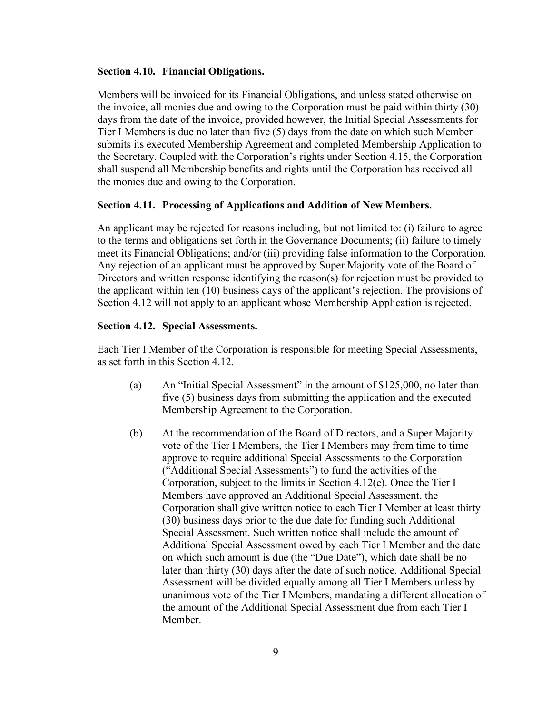#### <span id="page-14-0"></span>**Section 4.10. Financial Obligations.**

Members will be invoiced for its Financial Obligations, and unless stated otherwise on the invoice, all monies due and owing to the Corporation must be paid within thirty (30) days from the date of the invoice, provided however, the Initial Special Assessments for Tier I Members is due no later than five (5) days from the date on which such Member submits its executed Membership Agreement and completed Membership Application to the Secretary. Coupled with the Corporation's rights under Section 4.15, the Corporation shall suspend all Membership benefits and rights until the Corporation has received all the monies due and owing to the Corporation.

#### <span id="page-14-1"></span>**Section 4.11. Processing of Applications and Addition of New Members.**

An applicant may be rejected for reasons including, but not limited to: (i) failure to agree to the terms and obligations set forth in the Governance Documents; (ii) failure to timely meet its Financial Obligations; and/or (iii) providing false information to the Corporation. Any rejection of an applicant must be approved by Super Majority vote of the Board of Directors and written response identifying the reason(s) for rejection must be provided to the applicant within ten (10) business days of the applicant's rejection. The provisions of Section 4.12 will not apply to an applicant whose Membership Application is rejected.

## <span id="page-14-2"></span>**Section 4.12. Special Assessments.**

Each Tier I Member of the Corporation is responsible for meeting Special Assessments, as set forth in this Section 4.12.

- (a) An "Initial Special Assessment" in the amount of \$125,000, no later than five (5) business days from submitting the application and the executed Membership Agreement to the Corporation.
- (b) At the recommendation of the Board of Directors, and a Super Majority vote of the Tier I Members, the Tier I Members may from time to time approve to require additional Special Assessments to the Corporation ("Additional Special Assessments") to fund the activities of the Corporation, subject to the limits in Section 4.12(e). Once the Tier I Members have approved an Additional Special Assessment, the Corporation shall give written notice to each Tier I Member at least thirty (30) business days prior to the due date for funding such Additional Special Assessment. Such written notice shall include the amount of Additional Special Assessment owed by each Tier I Member and the date on which such amount is due (the "Due Date"), which date shall be no later than thirty (30) days after the date of such notice. Additional Special Assessment will be divided equally among all Tier I Members unless by unanimous vote of the Tier I Members, mandating a different allocation of the amount of the Additional Special Assessment due from each Tier I Member.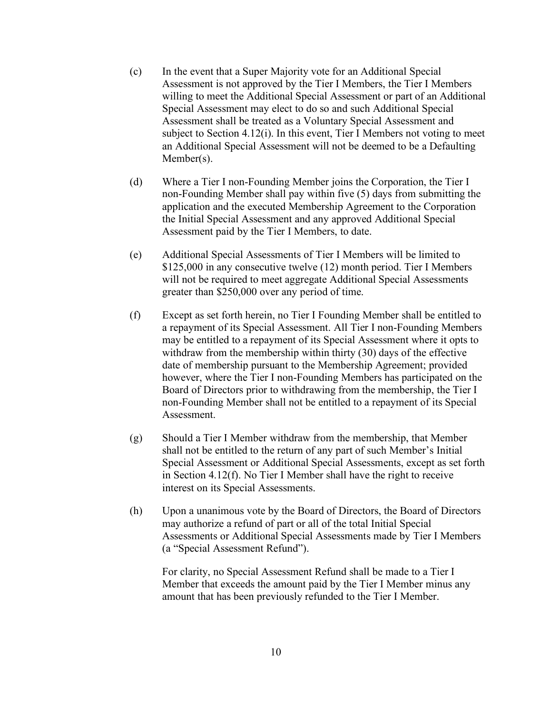- (c) In the event that a Super Majority vote for an Additional Special Assessment is not approved by the Tier I Members, the Tier I Members willing to meet the Additional Special Assessment or part of an Additional Special Assessment may elect to do so and such Additional Special Assessment shall be treated as a Voluntary Special Assessment and subject to Section 4.12(i). In this event, Tier I Members not voting to meet an Additional Special Assessment will not be deemed to be a Defaulting Member(s).
- (d) Where a Tier I non-Founding Member joins the Corporation, the Tier I non-Founding Member shall pay within five (5) days from submitting the application and the executed Membership Agreement to the Corporation the Initial Special Assessment and any approved Additional Special Assessment paid by the Tier I Members, to date.
- (e) Additional Special Assessments of Tier I Members will be limited to \$125,000 in any consecutive twelve (12) month period. Tier I Members will not be required to meet aggregate Additional Special Assessments greater than \$250,000 over any period of time.
- (f) Except as set forth herein, no Tier I Founding Member shall be entitled to a repayment of its Special Assessment. All Tier I non-Founding Members may be entitled to a repayment of its Special Assessment where it opts to withdraw from the membership within thirty (30) days of the effective date of membership pursuant to the Membership Agreement; provided however, where the Tier I non-Founding Members has participated on the Board of Directors prior to withdrawing from the membership, the Tier I non-Founding Member shall not be entitled to a repayment of its Special Assessment.
- (g) Should a Tier I Member withdraw from the membership, that Member shall not be entitled to the return of any part of such Member's Initial Special Assessment or Additional Special Assessments, except as set forth in Section 4.12(f). No Tier I Member shall have the right to receive interest on its Special Assessments.
- (h) Upon a unanimous vote by the Board of Directors, the Board of Directors may authorize a refund of part or all of the total Initial Special Assessments or Additional Special Assessments made by Tier I Members (a "Special Assessment Refund").

For clarity, no Special Assessment Refund shall be made to a Tier I Member that exceeds the amount paid by the Tier I Member minus any amount that has been previously refunded to the Tier I Member.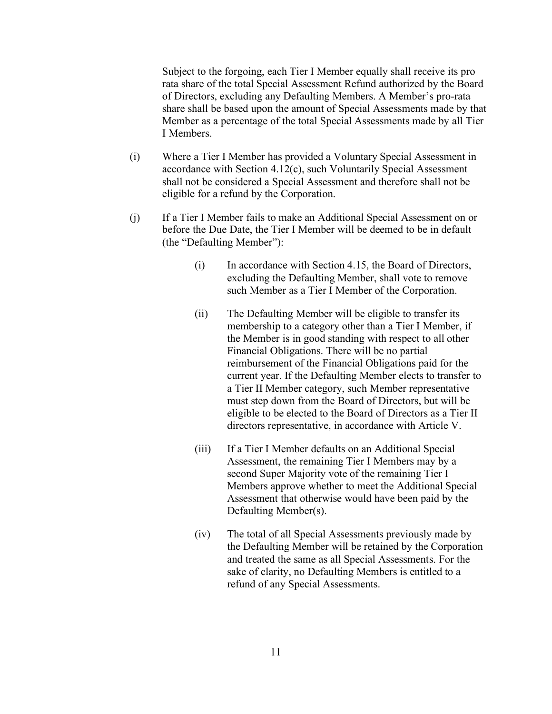Subject to the forgoing, each Tier I Member equally shall receive its pro rata share of the total Special Assessment Refund authorized by the Board of Directors, excluding any Defaulting Members. A Member's pro-rata share shall be based upon the amount of Special Assessments made by that Member as a percentage of the total Special Assessments made by all Tier I Members.

- (i) Where a Tier I Member has provided a Voluntary Special Assessment in accordance with Section 4.12(c), such Voluntarily Special Assessment shall not be considered a Special Assessment and therefore shall not be eligible for a refund by the Corporation.
- (j) If a Tier I Member fails to make an Additional Special Assessment on or before the Due Date, the Tier I Member will be deemed to be in default (the "Defaulting Member"):
	- (i) In accordance with Section 4.15, the Board of Directors, excluding the Defaulting Member, shall vote to remove such Member as a Tier I Member of the Corporation.
	- (ii) The Defaulting Member will be eligible to transfer its membership to a category other than a Tier I Member, if the Member is in good standing with respect to all other Financial Obligations. There will be no partial reimbursement of the Financial Obligations paid for the current year. If the Defaulting Member elects to transfer to a Tier II Member category, such Member representative must step down from the Board of Directors, but will be eligible to be elected to the Board of Directors as a Tier II directors representative, in accordance with Article V.
	- (iii) If a Tier I Member defaults on an Additional Special Assessment, the remaining Tier I Members may by a second Super Majority vote of the remaining Tier I Members approve whether to meet the Additional Special Assessment that otherwise would have been paid by the Defaulting Member(s).
	- (iv) The total of all Special Assessments previously made by the Defaulting Member will be retained by the Corporation and treated the same as all Special Assessments. For the sake of clarity, no Defaulting Members is entitled to a refund of any Special Assessments.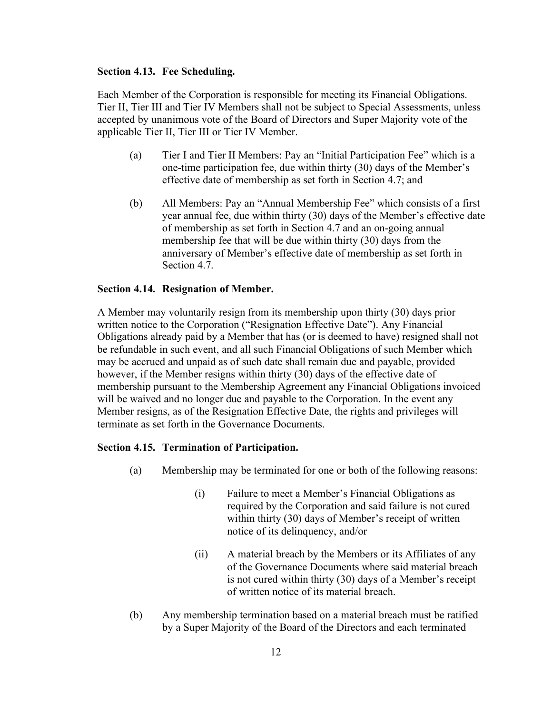#### <span id="page-17-0"></span>**Section 4.13. Fee Scheduling.**

Each Member of the Corporation is responsible for meeting its Financial Obligations. Tier II, Tier III and Tier IV Members shall not be subject to Special Assessments, unless accepted by unanimous vote of the Board of Directors and Super Majority vote of the applicable Tier II, Tier III or Tier IV Member.

- (a) Tier I and Tier II Members: Pay an "Initial Participation Fee" which is a one-time participation fee, due within thirty (30) days of the Member's effective date of membership as set forth in Section 4.7; and
- (b) All Members: Pay an "Annual Membership Fee" which consists of a first year annual fee, due within thirty (30) days of the Member's effective date of membership as set forth in Section 4.7 and an on-going annual membership fee that will be due within thirty (30) days from the anniversary of Member's effective date of membership as set forth in Section 4.7.

### <span id="page-17-1"></span>**Section 4.14. Resignation of Member.**

A Member may voluntarily resign from its membership upon thirty (30) days prior written notice to the Corporation ("Resignation Effective Date"). Any Financial Obligations already paid by a Member that has (or is deemed to have) resigned shall not be refundable in such event, and all such Financial Obligations of such Member which may be accrued and unpaid as of such date shall remain due and payable, provided however, if the Member resigns within thirty (30) days of the effective date of membership pursuant to the Membership Agreement any Financial Obligations invoiced will be waived and no longer due and payable to the Corporation. In the event any Member resigns, as of the Resignation Effective Date, the rights and privileges will terminate as set forth in the Governance Documents.

#### <span id="page-17-2"></span>**Section 4.15. Termination of Participation.**

- (a) Membership may be terminated for one or both of the following reasons:
	- (i) Failure to meet a Member's Financial Obligations as required by the Corporation and said failure is not cured within thirty (30) days of Member's receipt of written notice of its delinquency, and/or
	- (ii) A material breach by the Members or its Affiliates of any of the Governance Documents where said material breach is not cured within thirty (30) days of a Member's receipt of written notice of its material breach.
- (b) Any membership termination based on a material breach must be ratified by a Super Majority of the Board of the Directors and each terminated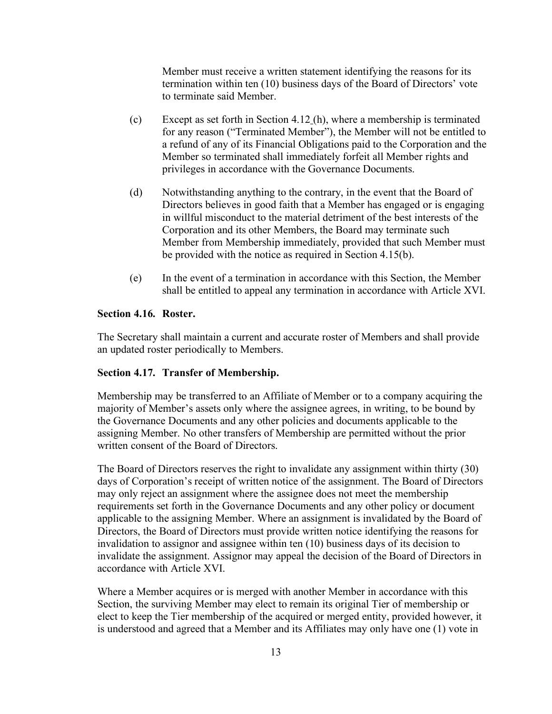Member must receive a written statement identifying the reasons for its termination within ten (10) business days of the Board of Directors' vote to terminate said Member.

- (c) Except as set forth in Section 4.12 (h), where a membership is terminated for any reason ("Terminated Member"), the Member will not be entitled to a refund of any of its Financial Obligations paid to the Corporation and the Member so terminated shall immediately forfeit all Member rights and privileges in accordance with the Governance Documents.
- (d) Notwithstanding anything to the contrary, in the event that the Board of Directors believes in good faith that a Member has engaged or is engaging in willful misconduct to the material detriment of the best interests of the Corporation and its other Members, the Board may terminate such Member from Membership immediately, provided that such Member must be provided with the notice as required in Section 4.15(b).
- (e) In the event of a termination in accordance with this Section, the Member shall be entitled to appeal any termination in accordance with Article XVI.

## <span id="page-18-0"></span>**Section 4.16. Roster.**

The Secretary shall maintain a current and accurate roster of Members and shall provide an updated roster periodically to Members.

### <span id="page-18-1"></span>**Section 4.17. Transfer of Membership.**

Membership may be transferred to an Affiliate of Member or to a company acquiring the majority of Member's assets only where the assignee agrees, in writing, to be bound by the Governance Documents and any other policies and documents applicable to the assigning Member. No other transfers of Membership are permitted without the prior written consent of the Board of Directors.

The Board of Directors reserves the right to invalidate any assignment within thirty (30) days of Corporation's receipt of written notice of the assignment. The Board of Directors may only reject an assignment where the assignee does not meet the membership requirements set forth in the Governance Documents and any other policy or document applicable to the assigning Member. Where an assignment is invalidated by the Board of Directors, the Board of Directors must provide written notice identifying the reasons for invalidation to assignor and assignee within ten (10) business days of its decision to invalidate the assignment. Assignor may appeal the decision of the Board of Directors in accordance with Article XVI.

Where a Member acquires or is merged with another Member in accordance with this Section, the surviving Member may elect to remain its original Tier of membership or elect to keep the Tier membership of the acquired or merged entity, provided however, it is understood and agreed that a Member and its Affiliates may only have one (1) vote in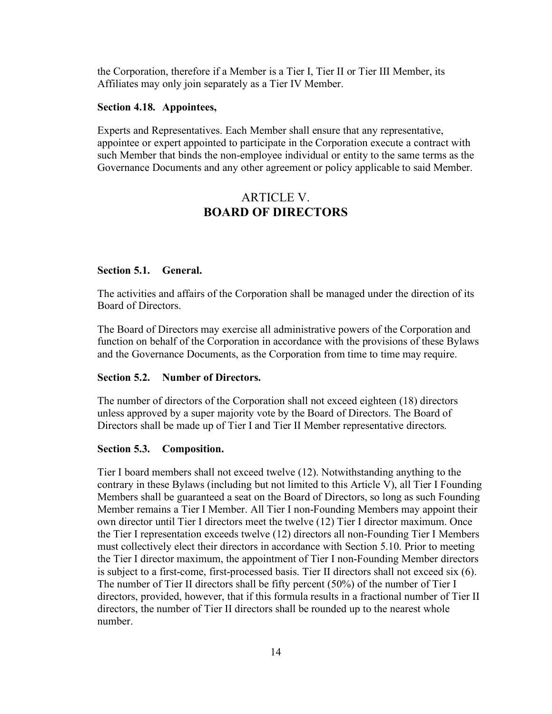the Corporation, therefore if a Member is a Tier I, Tier II or Tier III Member, its Affiliates may only join separately as a Tier IV Member.

#### <span id="page-19-0"></span>**Section 4.18. Appointees,**

Experts and Representatives. Each Member shall ensure that any representative, appointee or expert appointed to participate in the Corporation execute a contract with such Member that binds the non-employee individual or entity to the same terms as the Governance Documents and any other agreement or policy applicable to said Member.

## ARTICLE V. **BOARD OF DIRECTORS**

#### <span id="page-19-2"></span><span id="page-19-1"></span>**Section 5.1. General.**

The activities and affairs of the Corporation shall be managed under the direction of its Board of Directors.

The Board of Directors may exercise all administrative powers of the Corporation and function on behalf of the Corporation in accordance with the provisions of these Bylaws and the Governance Documents, as the Corporation from time to time may require.

#### <span id="page-19-3"></span>**Section 5.2. Number of Directors.**

The number of directors of the Corporation shall not exceed eighteen (18) directors unless approved by a super majority vote by the Board of Directors. The Board of Directors shall be made up of Tier I and Tier II Member representative directors.

#### <span id="page-19-4"></span>**Section 5.3. Composition.**

Tier I board members shall not exceed twelve (12). Notwithstanding anything to the contrary in these Bylaws (including but not limited to this Article V), all Tier I Founding Members shall be guaranteed a seat on the Board of Directors, so long as such Founding Member remains a Tier I Member. All Tier I non-Founding Members may appoint their own director until Tier I directors meet the twelve (12) Tier I director maximum. Once the Tier I representation exceeds twelve (12) directors all non-Founding Tier I Members must collectively elect their directors in accordance with Section 5.10. Prior to meeting the Tier I director maximum, the appointment of Tier I non-Founding Member directors is subject to a first-come, first-processed basis. Tier II directors shall not exceed six (6). The number of Tier II directors shall be fifty percent (50%) of the number of Tier I directors, provided, however, that if this formula results in a fractional number of Tier II directors, the number of Tier II directors shall be rounded up to the nearest whole number.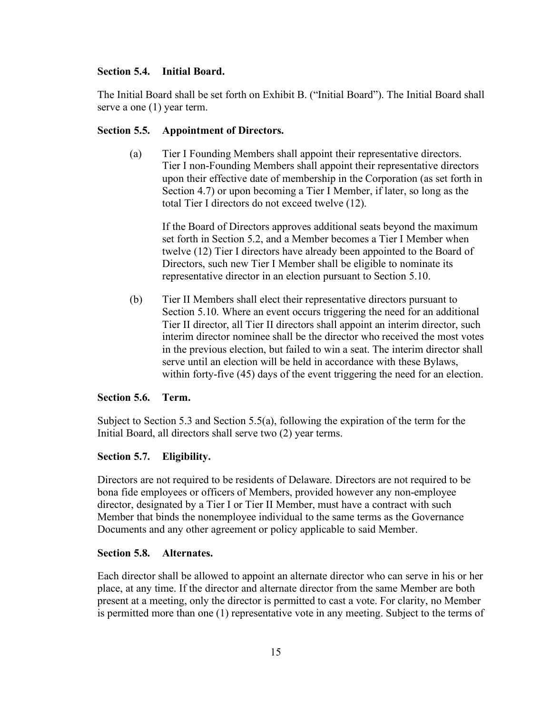## <span id="page-20-0"></span>**Section 5.4. Initial Board.**

The Initial Board shall be set forth on Exhibit B. ("Initial Board"). The Initial Board shall serve a one (1) year term.

## <span id="page-20-1"></span>**Section 5.5. Appointment of Directors.**

(a) Tier I Founding Members shall appoint their representative directors. Tier I non-Founding Members shall appoint their representative directors upon their effective date of membership in the Corporation (as set forth in Section 4.7) or upon becoming a Tier I Member, if later, so long as the total Tier I directors do not exceed twelve (12).

If the Board of Directors approves additional seats beyond the maximum set forth in Section 5.2, and a Member becomes a Tier I Member when twelve (12) Tier I directors have already been appointed to the Board of Directors, such new Tier I Member shall be eligible to nominate its representative director in an election pursuant to Section 5.10.

(b) Tier II Members shall elect their representative directors pursuant to Section 5.10. Where an event occurs triggering the need for an additional Tier II director, all Tier II directors shall appoint an interim director, such interim director nominee shall be the director who received the most votes in the previous election, but failed to win a seat. The interim director shall serve until an election will be held in accordance with these Bylaws, within forty-five (45) days of the event triggering the need for an election.

### <span id="page-20-2"></span>**Section 5.6. Term.**

Subject to Section 5.3 and Section 5.5(a), following the expiration of the term for the Initial Board, all directors shall serve two (2) year terms.

## <span id="page-20-3"></span>**Section 5.7. Eligibility.**

Directors are not required to be residents of Delaware. Directors are not required to be bona fide employees or officers of Members, provided however any non-employee director, designated by a Tier I or Tier II Member, must have a contract with such Member that binds the nonemployee individual to the same terms as the Governance Documents and any other agreement or policy applicable to said Member.

### <span id="page-20-4"></span>**Section 5.8. Alternates.**

Each director shall be allowed to appoint an alternate director who can serve in his or her place, at any time. If the director and alternate director from the same Member are both present at a meeting, only the director is permitted to cast a vote. For clarity, no Member is permitted more than one (1) representative vote in any meeting. Subject to the terms of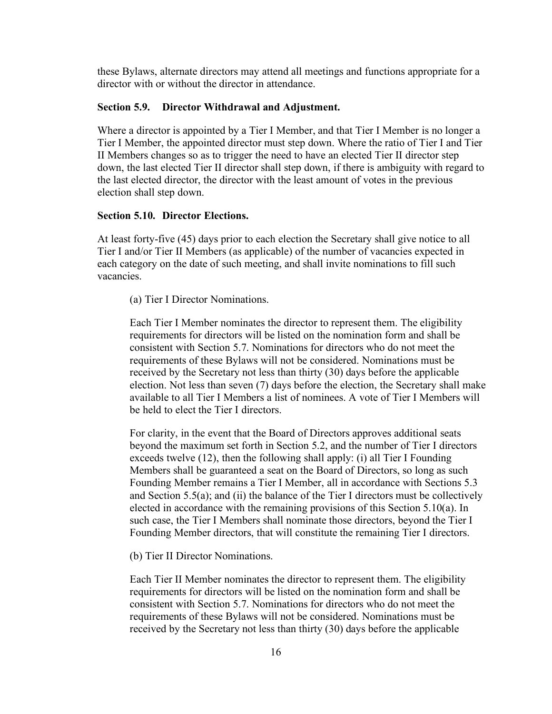these Bylaws, alternate directors may attend all meetings and functions appropriate for a director with or without the director in attendance.

#### <span id="page-21-0"></span>**Section 5.9. Director Withdrawal and Adjustment.**

Where a director is appointed by a Tier I Member, and that Tier I Member is no longer a Tier I Member, the appointed director must step down. Where the ratio of Tier I and Tier II Members changes so as to trigger the need to have an elected Tier II director step down, the last elected Tier II director shall step down, if there is ambiguity with regard to the last elected director, the director with the least amount of votes in the previous election shall step down.

### <span id="page-21-1"></span>**Section 5.10. Director Elections.**

At least forty-five (45) days prior to each election the Secretary shall give notice to all Tier I and/or Tier II Members (as applicable) of the number of vacancies expected in each category on the date of such meeting, and shall invite nominations to fill such vacancies.

(a) Tier I Director Nominations.

Each Tier I Member nominates the director to represent them. The eligibility requirements for directors will be listed on the nomination form and shall be consistent with Section 5.7. Nominations for directors who do not meet the requirements of these Bylaws will not be considered. Nominations must be received by the Secretary not less than thirty (30) days before the applicable election. Not less than seven (7) days before the election, the Secretary shall make available to all Tier I Members a list of nominees. A vote of Tier I Members will be held to elect the Tier I directors.

For clarity, in the event that the Board of Directors approves additional seats beyond the maximum set forth in Section 5.2, and the number of Tier I directors exceeds twelve (12), then the following shall apply: (i) all Tier I Founding Members shall be guaranteed a seat on the Board of Directors, so long as such Founding Member remains a Tier I Member, all in accordance with Sections 5.3 and Section 5.5(a); and (ii) the balance of the Tier I directors must be collectively elected in accordance with the remaining provisions of this Section 5.10(a). In such case, the Tier I Members shall nominate those directors, beyond the Tier I Founding Member directors, that will constitute the remaining Tier I directors.

(b) Tier II Director Nominations.

Each Tier II Member nominates the director to represent them. The eligibility requirements for directors will be listed on the nomination form and shall be consistent with Section 5.7. Nominations for directors who do not meet the requirements of these Bylaws will not be considered. Nominations must be received by the Secretary not less than thirty (30) days before the applicable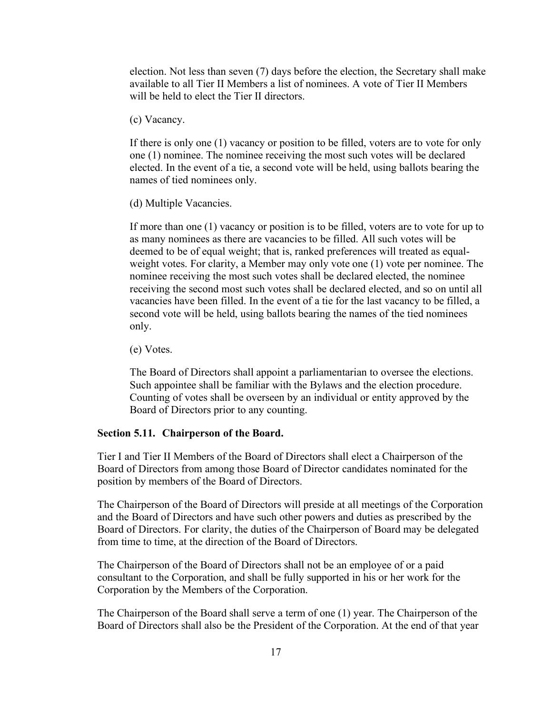election. Not less than seven (7) days before the election, the Secretary shall make available to all Tier II Members a list of nominees. A vote of Tier II Members will be held to elect the Tier II directors.

(c) Vacancy.

If there is only one (1) vacancy or position to be filled, voters are to vote for only one (1) nominee. The nominee receiving the most such votes will be declared elected. In the event of a tie, a second vote will be held, using ballots bearing the names of tied nominees only.

(d) Multiple Vacancies.

If more than one (1) vacancy or position is to be filled, voters are to vote for up to as many nominees as there are vacancies to be filled. All such votes will be deemed to be of equal weight; that is, ranked preferences will treated as equalweight votes. For clarity, a Member may only vote one (1) vote per nominee. The nominee receiving the most such votes shall be declared elected, the nominee receiving the second most such votes shall be declared elected, and so on until all vacancies have been filled. In the event of a tie for the last vacancy to be filled, a second vote will be held, using ballots bearing the names of the tied nominees only.

(e) Votes.

The Board of Directors shall appoint a parliamentarian to oversee the elections. Such appointee shall be familiar with the Bylaws and the election procedure. Counting of votes shall be overseen by an individual or entity approved by the Board of Directors prior to any counting.

#### <span id="page-22-0"></span>**Section 5.11. Chairperson of the Board.**

Tier I and Tier II Members of the Board of Directors shall elect a Chairperson of the Board of Directors from among those Board of Director candidates nominated for the position by members of the Board of Directors.

The Chairperson of the Board of Directors will preside at all meetings of the Corporation and the Board of Directors and have such other powers and duties as prescribed by the Board of Directors. For clarity, the duties of the Chairperson of Board may be delegated from time to time, at the direction of the Board of Directors.

The Chairperson of the Board of Directors shall not be an employee of or a paid consultant to the Corporation, and shall be fully supported in his or her work for the Corporation by the Members of the Corporation.

The Chairperson of the Board shall serve a term of one (1) year. The Chairperson of the Board of Directors shall also be the President of the Corporation. At the end of that year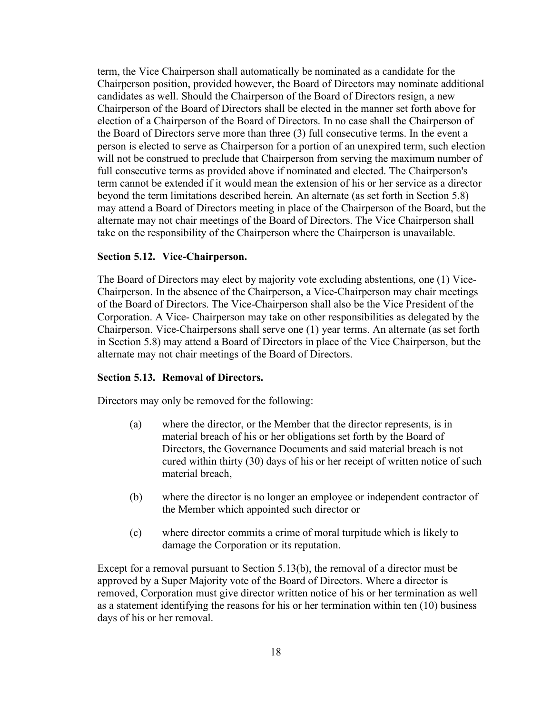term, the Vice Chairperson shall automatically be nominated as a candidate for the Chairperson position, provided however, the Board of Directors may nominate additional candidates as well. Should the Chairperson of the Board of Directors resign, a new Chairperson of the Board of Directors shall be elected in the manner set forth above for election of a Chairperson of the Board of Directors. In no case shall the Chairperson of the Board of Directors serve more than three (3) full consecutive terms. In the event a person is elected to serve as Chairperson for a portion of an unexpired term, such election will not be construed to preclude that Chairperson from serving the maximum number of full consecutive terms as provided above if nominated and elected. The Chairperson's term cannot be extended if it would mean the extension of his or her service as a director beyond the term limitations described herein. An alternate (as set forth in Section 5.8) may attend a Board of Directors meeting in place of the Chairperson of the Board, but the alternate may not chair meetings of the Board of Directors. The Vice Chairperson shall take on the responsibility of the Chairperson where the Chairperson is unavailable.

#### <span id="page-23-0"></span>**Section 5.12. Vice-Chairperson.**

The Board of Directors may elect by majority vote excluding abstentions, one (1) Vice-Chairperson. In the absence of the Chairperson, a Vice-Chairperson may chair meetings of the Board of Directors. The Vice-Chairperson shall also be the Vice President of the Corporation. A Vice- Chairperson may take on other responsibilities as delegated by the Chairperson. Vice-Chairpersons shall serve one (1) year terms. An alternate (as set forth in Section 5.8) may attend a Board of Directors in place of the Vice Chairperson, but the alternate may not chair meetings of the Board of Directors.

#### <span id="page-23-1"></span>**Section 5.13. Removal of Directors.**

Directors may only be removed for the following:

- (a) where the director, or the Member that the director represents, is in material breach of his or her obligations set forth by the Board of Directors, the Governance Documents and said material breach is not cured within thirty (30) days of his or her receipt of written notice of such material breach,
- (b) where the director is no longer an employee or independent contractor of the Member which appointed such director or
- (c) where director commits a crime of moral turpitude which is likely to damage the Corporation or its reputation.

Except for a removal pursuant to Section 5.13(b), the removal of a director must be approved by a Super Majority vote of the Board of Directors. Where a director is removed, Corporation must give director written notice of his or her termination as well as a statement identifying the reasons for his or her termination within ten (10) business days of his or her removal.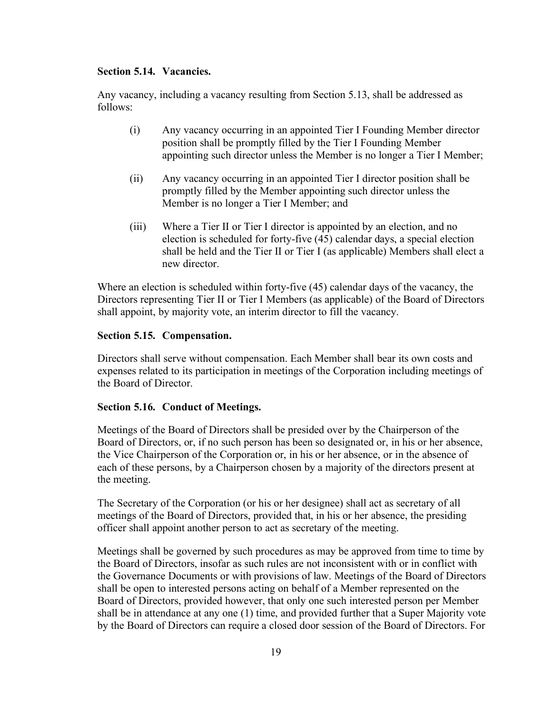## <span id="page-24-0"></span>**Section 5.14. Vacancies.**

Any vacancy, including a vacancy resulting from Section 5.13, shall be addressed as follows:

- (i) Any vacancy occurring in an appointed Tier I Founding Member director position shall be promptly filled by the Tier I Founding Member appointing such director unless the Member is no longer a Tier I Member;
- (ii) Any vacancy occurring in an appointed Tier I director position shall be promptly filled by the Member appointing such director unless the Member is no longer a Tier I Member; and
- (iii) Where a Tier II or Tier I director is appointed by an election, and no election is scheduled for forty-five (45) calendar days, a special election shall be held and the Tier II or Tier I (as applicable) Members shall elect a new director.

Where an election is scheduled within forty-five (45) calendar days of the vacancy, the Directors representing Tier II or Tier I Members (as applicable) of the Board of Directors shall appoint, by majority vote, an interim director to fill the vacancy.

## <span id="page-24-1"></span>**Section 5.15. Compensation.**

Directors shall serve without compensation. Each Member shall bear its own costs and expenses related to its participation in meetings of the Corporation including meetings of the Board of Director.

## <span id="page-24-2"></span>**Section 5.16. Conduct of Meetings.**

Meetings of the Board of Directors shall be presided over by the Chairperson of the Board of Directors, or, if no such person has been so designated or, in his or her absence, the Vice Chairperson of the Corporation or, in his or her absence, or in the absence of each of these persons, by a Chairperson chosen by a majority of the directors present at the meeting.

The Secretary of the Corporation (or his or her designee) shall act as secretary of all meetings of the Board of Directors, provided that, in his or her absence, the presiding officer shall appoint another person to act as secretary of the meeting.

Meetings shall be governed by such procedures as may be approved from time to time by the Board of Directors, insofar as such rules are not inconsistent with or in conflict with the Governance Documents or with provisions of law. Meetings of the Board of Directors shall be open to interested persons acting on behalf of a Member represented on the Board of Directors, provided however, that only one such interested person per Member shall be in attendance at any one (1) time, and provided further that a Super Majority vote by the Board of Directors can require a closed door session of the Board of Directors. For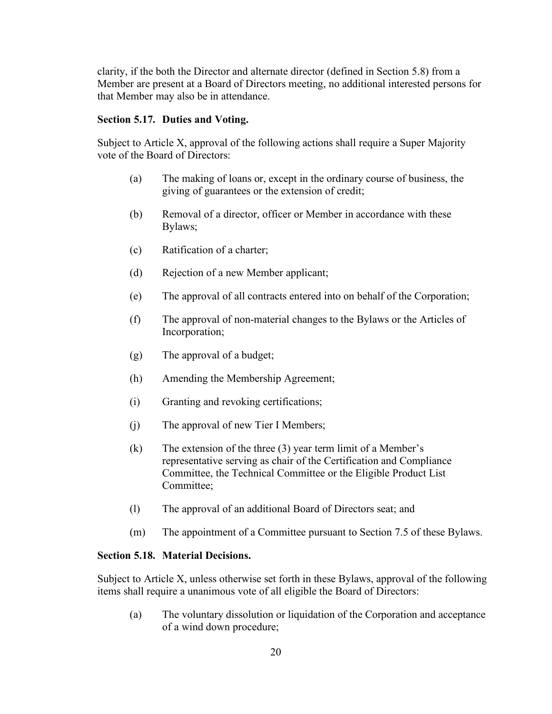clarity, if the both the Director and alternate director (defined in Section 5.8) from a Member are present at a Board of Directors meeting, no additional interested persons for that Member may also be in attendance.

#### <span id="page-25-0"></span>**Section 5.17. Duties and Voting.**

Subject to Article X, approval of the following actions shall require a Super Majority vote of the Board of Directors:

- (a) The making of loans or, except in the ordinary course of business, the giving of guarantees or the extension of credit;
- (b) Removal of a director, officer or Member in accordance with these Bylaws;
- (c) Ratification of a charter;
- (d) Rejection of a new Member applicant;
- (e) The approval of all contracts entered into on behalf of the Corporation;
- (f) The approval of non-material changes to the Bylaws or the Articles of Incorporation;
- (g) The approval of a budget;
- (h) Amending the Membership Agreement;
- (i) Granting and revoking certifications;
- (j) The approval of new Tier I Members;
- (k) The extension of the three (3) year term limit of a Member's representative serving as chair of the Certification and Compliance Committee, the Technical Committee or the Eligible Product List Committee;
- (l) The approval of an additional Board of Directors seat; and
- (m) The appointment of a Committee pursuant to Section 7.5 of these Bylaws.

## <span id="page-25-1"></span>**Section 5.18. Material Decisions.**

Subject to Article X, unless otherwise set forth in these Bylaws, approval of the following items shall require a unanimous vote of all eligible the Board of Directors:

(a) The voluntary dissolution or liquidation of the Corporation and acceptance of a wind down procedure;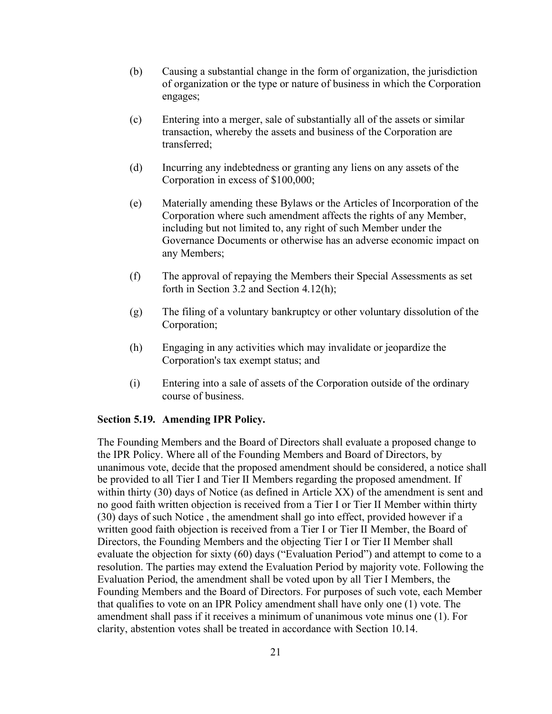- (b) Causing a substantial change in the form of organization, the jurisdiction of organization or the type or nature of business in which the Corporation engages;
- (c) Entering into a merger, sale of substantially all of the assets or similar transaction, whereby the assets and business of the Corporation are transferred;
- (d) Incurring any indebtedness or granting any liens on any assets of the Corporation in excess of \$100,000;
- (e) Materially amending these Bylaws or the Articles of Incorporation of the Corporation where such amendment affects the rights of any Member, including but not limited to, any right of such Member under the Governance Documents or otherwise has an adverse economic impact on any Members;
- (f) The approval of repaying the Members their Special Assessments as set forth in Section 3.2 and Section 4.12(h);
- (g) The filing of a voluntary bankruptcy or other voluntary dissolution of the Corporation;
- (h) Engaging in any activities which may invalidate or jeopardize the Corporation's tax exempt status; and
- (i) Entering into a sale of assets of the Corporation outside of the ordinary course of business.

#### <span id="page-26-0"></span>**Section 5.19. Amending IPR Policy.**

The Founding Members and the Board of Directors shall evaluate a proposed change to the IPR Policy. Where all of the Founding Members and Board of Directors, by unanimous vote, decide that the proposed amendment should be considered, a notice shall be provided to all Tier I and Tier II Members regarding the proposed amendment. If within thirty (30) days of Notice (as defined in Article XX) of the amendment is sent and no good faith written objection is received from a Tier I or Tier II Member within thirty (30) days of such Notice , the amendment shall go into effect, provided however if a written good faith objection is received from a Tier I or Tier II Member, the Board of Directors, the Founding Members and the objecting Tier I or Tier II Member shall evaluate the objection for sixty (60) days ("Evaluation Period") and attempt to come to a resolution. The parties may extend the Evaluation Period by majority vote. Following the Evaluation Period, the amendment shall be voted upon by all Tier I Members, the Founding Members and the Board of Directors. For purposes of such vote, each Member that qualifies to vote on an IPR Policy amendment shall have only one (1) vote. The amendment shall pass if it receives a minimum of unanimous vote minus one (1). For clarity, abstention votes shall be treated in accordance with Section 10.14.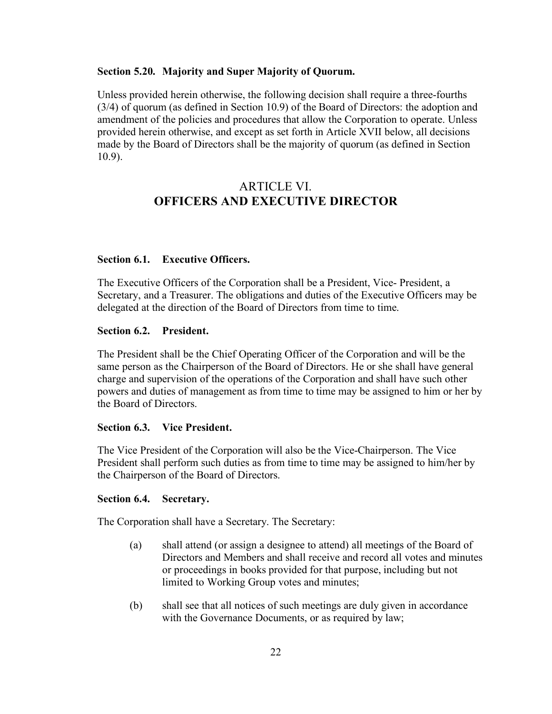#### <span id="page-27-0"></span>**Section 5.20. Majority and Super Majority of Quorum.**

Unless provided herein otherwise, the following decision shall require a three-fourths (3/4) of quorum (as defined in Section 10.9) of the Board of Directors: the adoption and amendment of the policies and procedures that allow the Corporation to operate. Unless provided herein otherwise, and except as set forth in Article XVII below, all decisions made by the Board of Directors shall be the majority of quorum (as defined in Section 10.9).

## ARTICLE VI. **OFFICERS AND EXECUTIVE DIRECTOR**

## <span id="page-27-2"></span><span id="page-27-1"></span>**Section 6.1. Executive Officers.**

The Executive Officers of the Corporation shall be a President, Vice- President, a Secretary, and a Treasurer. The obligations and duties of the Executive Officers may be delegated at the direction of the Board of Directors from time to time.

#### <span id="page-27-3"></span>**Section 6.2. President.**

The President shall be the Chief Operating Officer of the Corporation and will be the same person as the Chairperson of the Board of Directors. He or she shall have general charge and supervision of the operations of the Corporation and shall have such other powers and duties of management as from time to time may be assigned to him or her by the Board of Directors.

#### <span id="page-27-4"></span>**Section 6.3. Vice President.**

The Vice President of the Corporation will also be the Vice-Chairperson. The Vice President shall perform such duties as from time to time may be assigned to him/her by the Chairperson of the Board of Directors.

## <span id="page-27-5"></span>**Section 6.4. Secretary.**

The Corporation shall have a Secretary. The Secretary:

- (a) shall attend (or assign a designee to attend) all meetings of the Board of Directors and Members and shall receive and record all votes and minutes or proceedings in books provided for that purpose, including but not limited to Working Group votes and minutes;
- (b) shall see that all notices of such meetings are duly given in accordance with the Governance Documents, or as required by law;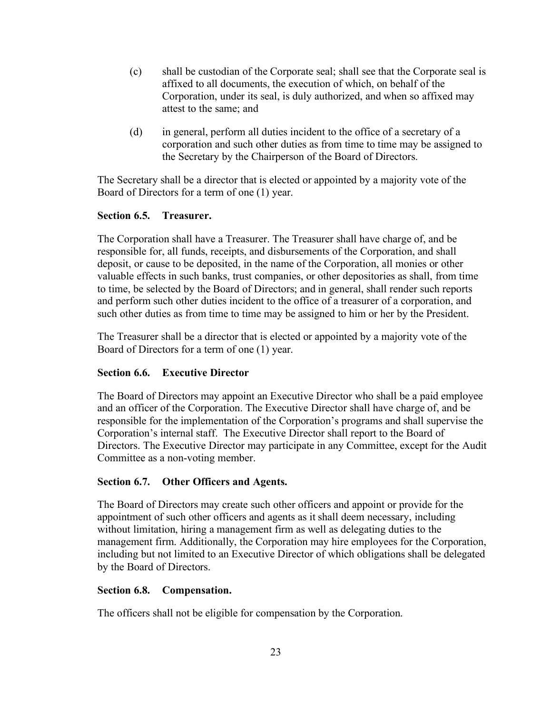- (c) shall be custodian of the Corporate seal; shall see that the Corporate seal is affixed to all documents, the execution of which, on behalf of the Corporation, under its seal, is duly authorized, and when so affixed may attest to the same; and
- (d) in general, perform all duties incident to the office of a secretary of a corporation and such other duties as from time to time may be assigned to the Secretary by the Chairperson of the Board of Directors.

The Secretary shall be a director that is elected or appointed by a majority vote of the Board of Directors for a term of one (1) year.

## <span id="page-28-0"></span>**Section 6.5. Treasurer.**

The Corporation shall have a Treasurer. The Treasurer shall have charge of, and be responsible for, all funds, receipts, and disbursements of the Corporation, and shall deposit, or cause to be deposited, in the name of the Corporation, all monies or other valuable effects in such banks, trust companies, or other depositories as shall, from time to time, be selected by the Board of Directors; and in general, shall render such reports and perform such other duties incident to the office of a treasurer of a corporation, and such other duties as from time to time may be assigned to him or her by the President.

The Treasurer shall be a director that is elected or appointed by a majority vote of the Board of Directors for a term of one (1) year.

## <span id="page-28-1"></span>**Section 6.6. Executive Director**

The Board of Directors may appoint an Executive Director who shall be a paid employee and an officer of the Corporation. The Executive Director shall have charge of, and be responsible for the implementation of the Corporation's programs and shall supervise the Corporation's internal staff. The Executive Director shall report to the Board of Directors. The Executive Director may participate in any Committee, except for the Audit Committee as a non-voting member.

### <span id="page-28-2"></span>**Section 6.7. Other Officers and Agents.**

The Board of Directors may create such other officers and appoint or provide for the appointment of such other officers and agents as it shall deem necessary, including without limitation, hiring a management firm as well as delegating duties to the management firm. Additionally, the Corporation may hire employees for the Corporation, including but not limited to an Executive Director of which obligations shall be delegated by the Board of Directors.

## <span id="page-28-3"></span>**Section 6.8. Compensation.**

The officers shall not be eligible for compensation by the Corporation.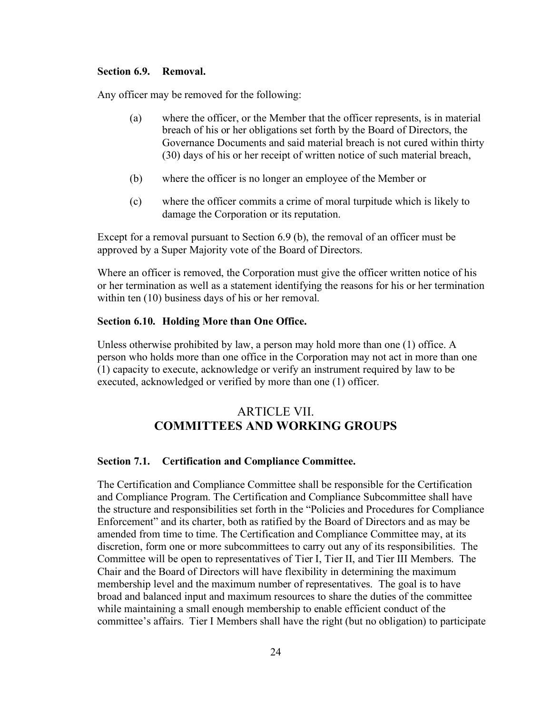#### <span id="page-29-0"></span>**Section 6.9. Removal.**

Any officer may be removed for the following:

- (a) where the officer, or the Member that the officer represents, is in material breach of his or her obligations set forth by the Board of Directors, the Governance Documents and said material breach is not cured within thirty (30) days of his or her receipt of written notice of such material breach,
- (b) where the officer is no longer an employee of the Member or
- (c) where the officer commits a crime of moral turpitude which is likely to damage the Corporation or its reputation.

Except for a removal pursuant to Section 6.9 (b), the removal of an officer must be approved by a Super Majority vote of the Board of Directors.

Where an officer is removed, the Corporation must give the officer written notice of his or her termination as well as a statement identifying the reasons for his or her termination within ten (10) business days of his or her removal.

#### <span id="page-29-1"></span>**Section 6.10. Holding More than One Office.**

Unless otherwise prohibited by law, a person may hold more than one (1) office. A person who holds more than one office in the Corporation may not act in more than one (1) capacity to execute, acknowledge or verify an instrument required by law to be executed, acknowledged or verified by more than one (1) officer.

## ARTICLE VII. **COMMITTEES AND WORKING GROUPS**

#### <span id="page-29-3"></span><span id="page-29-2"></span>**Section 7.1. Certification and Compliance Committee.**

The Certification and Compliance Committee shall be responsible for the Certification and Compliance Program. The Certification and Compliance Subcommittee shall have the structure and responsibilities set forth in the "Policies and Procedures for Compliance Enforcement" and its charter, both as ratified by the Board of Directors and as may be amended from time to time. The Certification and Compliance Committee may, at its discretion, form one or more subcommittees to carry out any of its responsibilities. The Committee will be open to representatives of Tier I, Tier II, and Tier III Members. The Chair and the Board of Directors will have flexibility in determining the maximum membership level and the maximum number of representatives. The goal is to have broad and balanced input and maximum resources to share the duties of the committee while maintaining a small enough membership to enable efficient conduct of the committee's affairs. Tier I Members shall have the right (but no obligation) to participate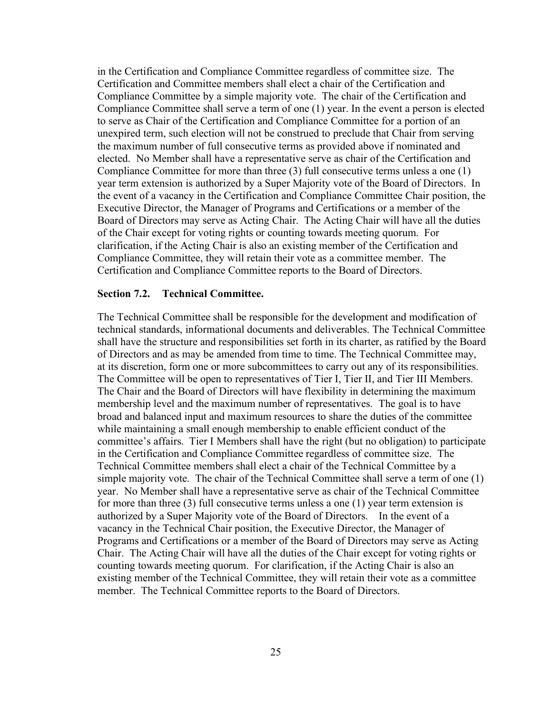in the Certification and Compliance Committee regardless of committee size. The Certification and Committee members shall elect a chair of the Certification and Compliance Committee by a simple majority vote. The chair of the Certification and Compliance Committee shall serve a term of one (1) year. In the event a person is elected to serve as Chair of the Certification and Compliance Committee for a portion of an unexpired term, such election will not be construed to preclude that Chair from serving the maximum number of full consecutive terms as provided above if nominated and elected. No Member shall have a representative serve as chair of the Certification and Compliance Committee for more than three (3) full consecutive terms unless a one (1) year term extension is authorized by a Super Majority vote of the Board of Directors. In the event of a vacancy in the Certification and Compliance Committee Chair position, the Executive Director, the Manager of Programs and Certifications or a member of the Board of Directors may serve as Acting Chair. The Acting Chair will have all the duties of the Chair except for voting rights or counting towards meeting quorum. For clarification, if the Acting Chair is also an existing member of the Certification and Compliance Committee, they will retain their vote as a committee member. The Certification and Compliance Committee reports to the Board of Directors.

#### <span id="page-30-0"></span>**Section 7.2. Technical Committee.**

The Technical Committee shall be responsible for the development and modification of technical standards, informational documents and deliverables. The Technical Committee shall have the structure and responsibilities set forth in its charter, as ratified by the Board of Directors and as may be amended from time to time. The Technical Committee may, at its discretion, form one or more subcommittees to carry out any of its responsibilities. The Committee will be open to representatives of Tier I, Tier II, and Tier III Members. The Chair and the Board of Directors will have flexibility in determining the maximum membership level and the maximum number of representatives. The goal is to have broad and balanced input and maximum resources to share the duties of the committee while maintaining a small enough membership to enable efficient conduct of the committee's affairs. Tier I Members shall have the right (but no obligation) to participate in the Certification and Compliance Committee regardless of committee size. The Technical Committee members shall elect a chair of the Technical Committee by a simple majority vote. The chair of the Technical Committee shall serve a term of one (1) year. No Member shall have a representative serve as chair of the Technical Committee for more than three (3) full consecutive terms unless a one (1) year term extension is authorized by a Super Majority vote of the Board of Directors. In the event of a vacancy in the Technical Chair position, the Executive Director, the Manager of Programs and Certifications or a member of the Board of Directors may serve as Acting Chair. The Acting Chair will have all the duties of the Chair except for voting rights or counting towards meeting quorum. For clarification, if the Acting Chair is also an existing member of the Technical Committee, they will retain their vote as a committee member. The Technical Committee reports to the Board of Directors.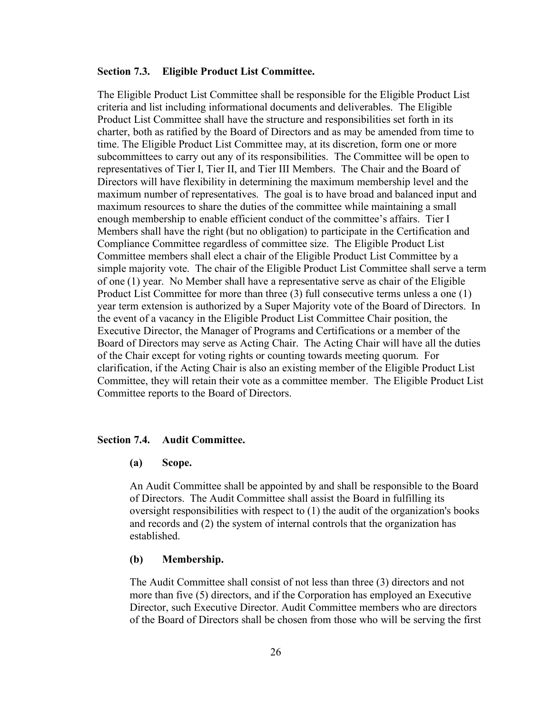#### <span id="page-31-0"></span>**Section 7.3. Eligible Product List Committee.**

The Eligible Product List Committee shall be responsible for the Eligible Product List criteria and list including informational documents and deliverables. The Eligible Product List Committee shall have the structure and responsibilities set forth in its charter, both as ratified by the Board of Directors and as may be amended from time to time. The Eligible Product List Committee may, at its discretion, form one or more subcommittees to carry out any of its responsibilities. The Committee will be open to representatives of Tier I, Tier II, and Tier III Members. The Chair and the Board of Directors will have flexibility in determining the maximum membership level and the maximum number of representatives. The goal is to have broad and balanced input and maximum resources to share the duties of the committee while maintaining a small enough membership to enable efficient conduct of the committee's affairs. Tier I Members shall have the right (but no obligation) to participate in the Certification and Compliance Committee regardless of committee size. The Eligible Product List Committee members shall elect a chair of the Eligible Product List Committee by a simple majority vote. The chair of the Eligible Product List Committee shall serve a term of one (1) year. No Member shall have a representative serve as chair of the Eligible Product List Committee for more than three (3) full consecutive terms unless a one (1) year term extension is authorized by a Super Majority vote of the Board of Directors. In the event of a vacancy in the Eligible Product List Committee Chair position, the Executive Director, the Manager of Programs and Certifications or a member of the Board of Directors may serve as Acting Chair. The Acting Chair will have all the duties of the Chair except for voting rights or counting towards meeting quorum. For clarification, if the Acting Chair is also an existing member of the Eligible Product List Committee, they will retain their vote as a committee member. The Eligible Product List Committee reports to the Board of Directors.

#### <span id="page-31-1"></span>**Section 7.4. Audit Committee.**

#### **(a) Scope.**

An Audit Committee shall be appointed by and shall be responsible to the Board of Directors. The Audit Committee shall assist the Board in fulfilling its oversight responsibilities with respect to (1) the audit of the organization's books and records and (2) the system of internal controls that the organization has established.

#### **(b) Membership.**

The Audit Committee shall consist of not less than three (3) directors and not more than five (5) directors, and if the Corporation has employed an Executive Director, such Executive Director. Audit Committee members who are directors of the Board of Directors shall be chosen from those who will be serving the first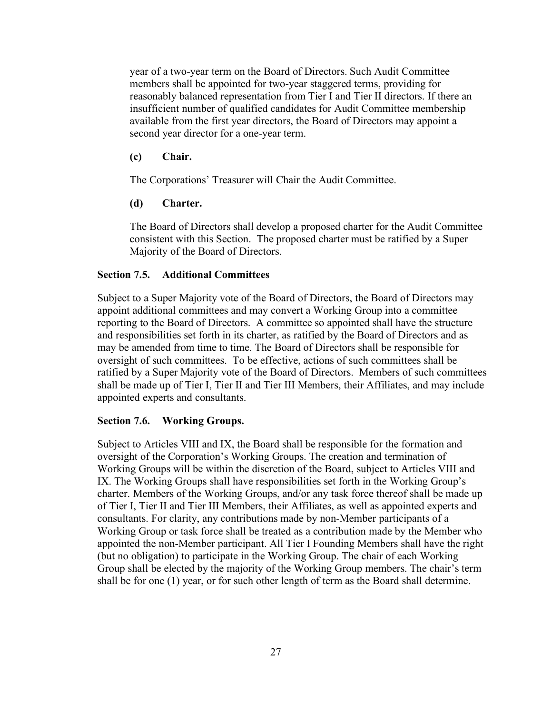year of a two-year term on the Board of Directors. Such Audit Committee members shall be appointed for two-year staggered terms, providing for reasonably balanced representation from Tier I and Tier II directors. If there an insufficient number of qualified candidates for Audit Committee membership available from the first year directors, the Board of Directors may appoint a second year director for a one-year term.

#### **(c) Chair.**

The Corporations' Treasurer will Chair the Audit Committee.

### **(d) Charter.**

The Board of Directors shall develop a proposed charter for the Audit Committee consistent with this Section. The proposed charter must be ratified by a Super Majority of the Board of Directors.

## <span id="page-32-0"></span>**Section 7.5. Additional Committees**

Subject to a Super Majority vote of the Board of Directors, the Board of Directors may appoint additional committees and may convert a Working Group into a committee reporting to the Board of Directors. A committee so appointed shall have the structure and responsibilities set forth in its charter, as ratified by the Board of Directors and as may be amended from time to time. The Board of Directors shall be responsible for oversight of such committees. To be effective, actions of such committees shall be ratified by a Super Majority vote of the Board of Directors. Members of such committees shall be made up of Tier I, Tier II and Tier III Members, their Affiliates, and may include appointed experts and consultants.

#### <span id="page-32-1"></span>**Section 7.6. Working Groups.**

Subject to Articles VIII and IX, the Board shall be responsible for the formation and oversight of the Corporation's Working Groups. The creation and termination of Working Groups will be within the discretion of the Board, subject to Articles VIII and IX. The Working Groups shall have responsibilities set forth in the Working Group's charter. Members of the Working Groups, and/or any task force thereof shall be made up of Tier I, Tier II and Tier III Members, their Affiliates, as well as appointed experts and consultants. For clarity, any contributions made by non-Member participants of a Working Group or task force shall be treated as a contribution made by the Member who appointed the non-Member participant. All Tier I Founding Members shall have the right (but no obligation) to participate in the Working Group. The chair of each Working Group shall be elected by the majority of the Working Group members. The chair's term shall be for one (1) year, or for such other length of term as the Board shall determine.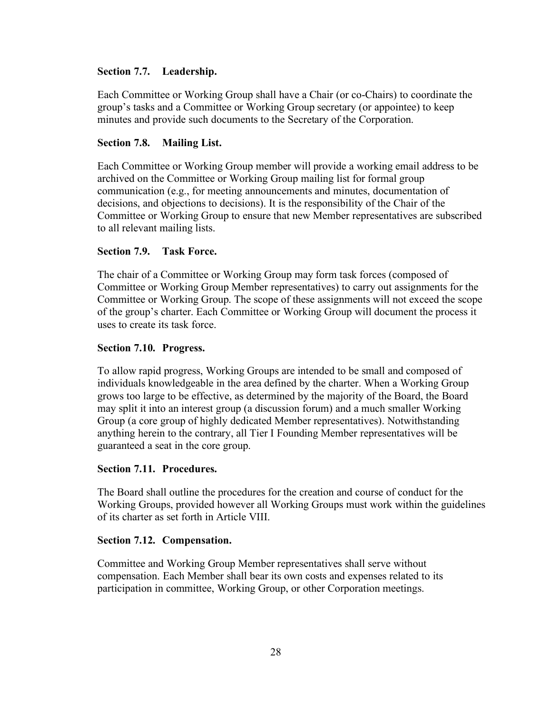## <span id="page-33-0"></span>**Section 7.7. Leadership.**

Each Committee or Working Group shall have a Chair (or co-Chairs) to coordinate the group's tasks and a Committee or Working Group secretary (or appointee) to keep minutes and provide such documents to the Secretary of the Corporation.

## <span id="page-33-1"></span>**Section 7.8. Mailing List.**

Each Committee or Working Group member will provide a working email address to be archived on the Committee or Working Group mailing list for formal group communication (e.g., for meeting announcements and minutes, documentation of decisions, and objections to decisions). It is the responsibility of the Chair of the Committee or Working Group to ensure that new Member representatives are subscribed to all relevant mailing lists.

## <span id="page-33-2"></span>**Section 7.9. Task Force.**

The chair of a Committee or Working Group may form task forces (composed of Committee or Working Group Member representatives) to carry out assignments for the Committee or Working Group. The scope of these assignments will not exceed the scope of the group's charter. Each Committee or Working Group will document the process it uses to create its task force.

## <span id="page-33-3"></span>**Section 7.10. Progress.**

To allow rapid progress, Working Groups are intended to be small and composed of individuals knowledgeable in the area defined by the charter. When a Working Group grows too large to be effective, as determined by the majority of the Board, the Board may split it into an interest group (a discussion forum) and a much smaller Working Group (a core group of highly dedicated Member representatives). Notwithstanding anything herein to the contrary, all Tier I Founding Member representatives will be guaranteed a seat in the core group.

### <span id="page-33-4"></span>**Section 7.11. Procedures.**

The Board shall outline the procedures for the creation and course of conduct for the Working Groups, provided however all Working Groups must work within the guidelines of its charter as set forth in Article VIII.

### <span id="page-33-5"></span>**Section 7.12. Compensation.**

Committee and Working Group Member representatives shall serve without compensation. Each Member shall bear its own costs and expenses related to its participation in committee, Working Group, or other Corporation meetings.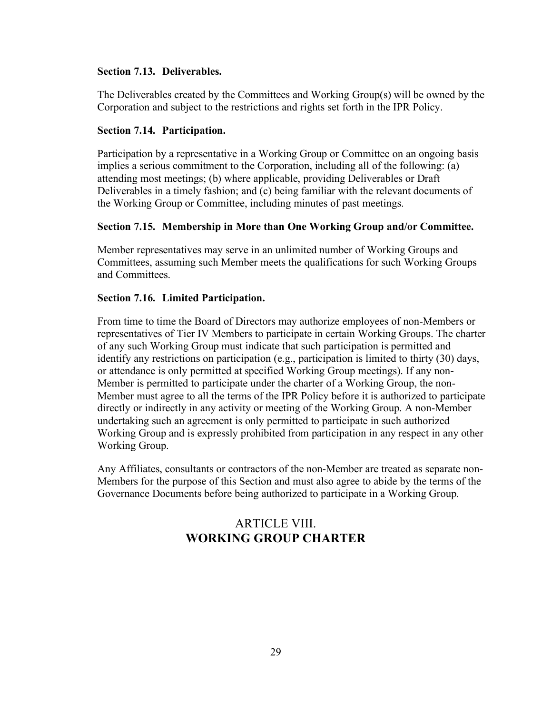## <span id="page-34-0"></span>**Section 7.13. Deliverables.**

The Deliverables created by the Committees and Working Group(s) will be owned by the Corporation and subject to the restrictions and rights set forth in the IPR Policy.

## <span id="page-34-1"></span>**Section 7.14. Participation.**

Participation by a representative in a Working Group or Committee on an ongoing basis implies a serious commitment to the Corporation, including all of the following: (a) attending most meetings; (b) where applicable, providing Deliverables or Draft Deliverables in a timely fashion; and (c) being familiar with the relevant documents of the Working Group or Committee, including minutes of past meetings.

## <span id="page-34-2"></span>**Section 7.15. Membership in More than One Working Group and/or Committee.**

Member representatives may serve in an unlimited number of Working Groups and Committees, assuming such Member meets the qualifications for such Working Groups and Committees.

## <span id="page-34-3"></span>**Section 7.16. Limited Participation.**

From time to time the Board of Directors may authorize employees of non-Members or representatives of Tier IV Members to participate in certain Working Groups. The charter of any such Working Group must indicate that such participation is permitted and identify any restrictions on participation (e.g., participation is limited to thirty (30) days, or attendance is only permitted at specified Working Group meetings). If any non-Member is permitted to participate under the charter of a Working Group, the non-Member must agree to all the terms of the IPR Policy before it is authorized to participate directly or indirectly in any activity or meeting of the Working Group. A non-Member undertaking such an agreement is only permitted to participate in such authorized Working Group and is expressly prohibited from participation in any respect in any other Working Group.

<span id="page-34-4"></span>Any Affiliates, consultants or contractors of the non-Member are treated as separate non-Members for the purpose of this Section and must also agree to abide by the terms of the Governance Documents before being authorized to participate in a Working Group.

## ARTICLE VIII. **WORKING GROUP CHARTER**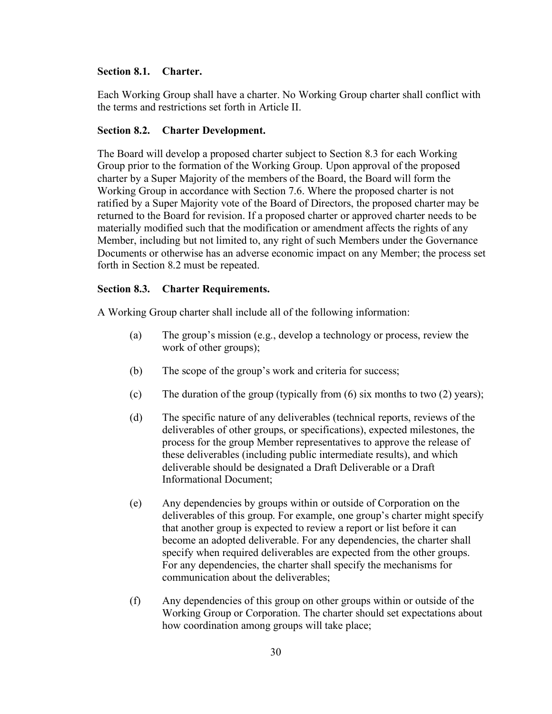## <span id="page-35-0"></span>**Section 8.1. Charter.**

Each Working Group shall have a charter. No Working Group charter shall conflict with the terms and restrictions set forth in Article II.

#### <span id="page-35-1"></span>**Section 8.2. Charter Development.**

The Board will develop a proposed charter subject to Section 8.3 for each Working Group prior to the formation of the Working Group. Upon approval of the proposed charter by a Super Majority of the members of the Board, the Board will form the Working Group in accordance with Section 7.6. Where the proposed charter is not ratified by a Super Majority vote of the Board of Directors, the proposed charter may be returned to the Board for revision. If a proposed charter or approved charter needs to be materially modified such that the modification or amendment affects the rights of any Member, including but not limited to, any right of such Members under the Governance Documents or otherwise has an adverse economic impact on any Member; the process set forth in Section 8.2 must be repeated.

### <span id="page-35-2"></span>**Section 8.3. Charter Requirements.**

A Working Group charter shall include all of the following information:

- (a) The group's mission (e.g., develop a technology or process, review the work of other groups);
- (b) The scope of the group's work and criteria for success;
- (c) The duration of the group (typically from (6) six months to two (2) years);
- (d) The specific nature of any deliverables (technical reports, reviews of the deliverables of other groups, or specifications), expected milestones, the process for the group Member representatives to approve the release of these deliverables (including public intermediate results), and which deliverable should be designated a Draft Deliverable or a Draft Informational Document;
- (e) Any dependencies by groups within or outside of Corporation on the deliverables of this group. For example, one group's charter might specify that another group is expected to review a report or list before it can become an adopted deliverable. For any dependencies, the charter shall specify when required deliverables are expected from the other groups. For any dependencies, the charter shall specify the mechanisms for communication about the deliverables;
- (f) Any dependencies of this group on other groups within or outside of the Working Group or Corporation. The charter should set expectations about how coordination among groups will take place;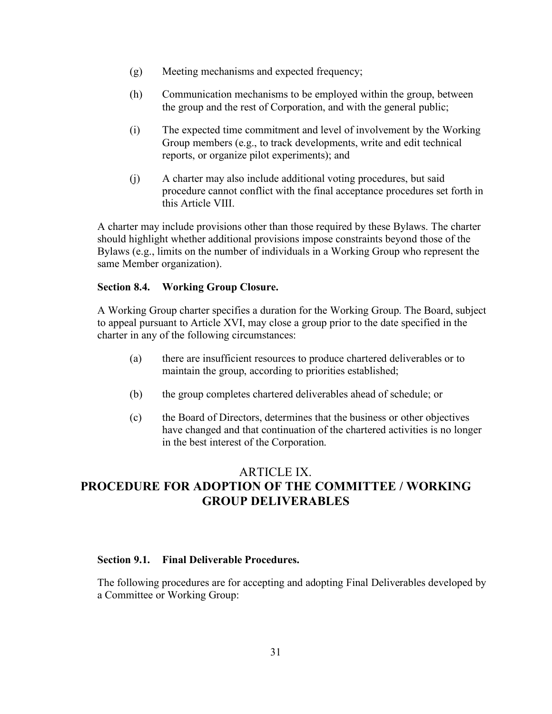- (g) Meeting mechanisms and expected frequency;
- (h) Communication mechanisms to be employed within the group, between the group and the rest of Corporation, and with the general public;
- (i) The expected time commitment and level of involvement by the Working Group members (e.g., to track developments, write and edit technical reports, or organize pilot experiments); and
- (j) A charter may also include additional voting procedures, but said procedure cannot conflict with the final acceptance procedures set forth in this Article VIII.

A charter may include provisions other than those required by these Bylaws. The charter should highlight whether additional provisions impose constraints beyond those of the Bylaws (e.g., limits on the number of individuals in a Working Group who represent the same Member organization).

## <span id="page-36-0"></span>**Section 8.4. Working Group Closure.**

A Working Group charter specifies a duration for the Working Group. The Board, subject to appeal pursuant to Article XVI, may close a group prior to the date specified in the charter in any of the following circumstances:

- (a) there are insufficient resources to produce chartered deliverables or to maintain the group, according to priorities established;
- (b) the group completes chartered deliverables ahead of schedule; or
- (c) the Board of Directors, determines that the business or other objectives have changed and that continuation of the chartered activities is no longer in the best interest of the Corporation.

## <span id="page-36-1"></span>ARTICLE IX. **PROCEDURE FOR ADOPTION OF THE COMMITTEE / WORKING GROUP DELIVERABLES**

## <span id="page-36-2"></span>**Section 9.1. Final Deliverable Procedures.**

The following procedures are for accepting and adopting Final Deliverables developed by a Committee or Working Group: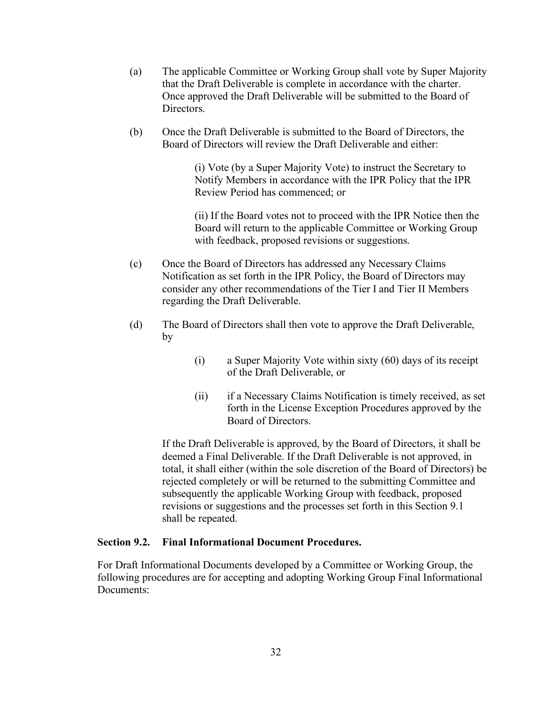- (a) The applicable Committee or Working Group shall vote by Super Majority that the Draft Deliverable is complete in accordance with the charter. Once approved the Draft Deliverable will be submitted to the Board of Directors.
- (b) Once the Draft Deliverable is submitted to the Board of Directors, the Board of Directors will review the Draft Deliverable and either:

(i) Vote (by a Super Majority Vote) to instruct the Secretary to Notify Members in accordance with the IPR Policy that the IPR Review Period has commenced; or

(ii) If the Board votes not to proceed with the IPR Notice then the Board will return to the applicable Committee or Working Group with feedback, proposed revisions or suggestions.

- (c) Once the Board of Directors has addressed any Necessary Claims Notification as set forth in the IPR Policy, the Board of Directors may consider any other recommendations of the Tier I and Tier II Members regarding the Draft Deliverable.
- (d) The Board of Directors shall then vote to approve the Draft Deliverable, by
	- (i) a Super Majority Vote within sixty (60) days of its receipt of the Draft Deliverable, or
	- (ii) if a Necessary Claims Notification is timely received, as set forth in the License Exception Procedures approved by the Board of Directors.

If the Draft Deliverable is approved, by the Board of Directors, it shall be deemed a Final Deliverable. If the Draft Deliverable is not approved, in total, it shall either (within the sole discretion of the Board of Directors) be rejected completely or will be returned to the submitting Committee and subsequently the applicable Working Group with feedback, proposed revisions or suggestions and the processes set forth in this Section 9.1 shall be repeated.

### <span id="page-37-0"></span>**Section 9.2. Final Informational Document Procedures.**

For Draft Informational Documents developed by a Committee or Working Group, the following procedures are for accepting and adopting Working Group Final Informational Documents: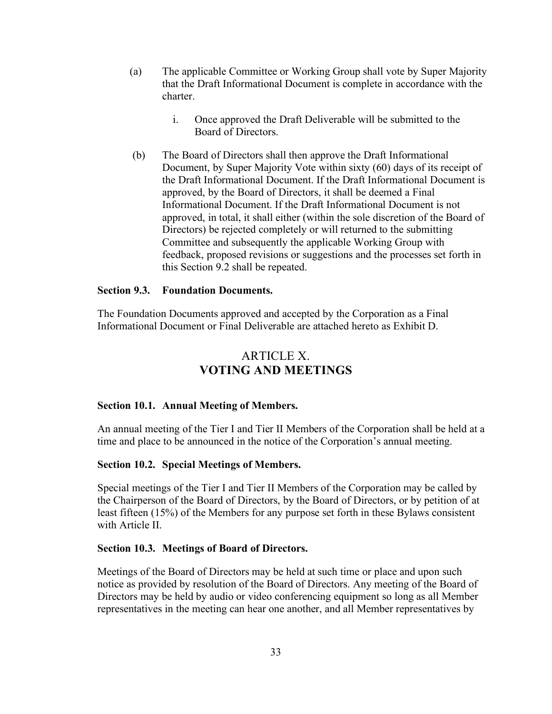- (a) The applicable Committee or Working Group shall vote by Super Majority that the Draft Informational Document is complete in accordance with the charter.
	- i. Once approved the Draft Deliverable will be submitted to the Board of Directors.
- (b) The Board of Directors shall then approve the Draft Informational Document, by Super Majority Vote within sixty (60) days of its receipt of the Draft Informational Document. If the Draft Informational Document is approved, by the Board of Directors, it shall be deemed a Final Informational Document. If the Draft Informational Document is not approved, in total, it shall either (within the sole discretion of the Board of Directors) be rejected completely or will returned to the submitting Committee and subsequently the applicable Working Group with feedback, proposed revisions or suggestions and the processes set forth in this Section 9.2 shall be repeated.

### <span id="page-38-0"></span>**Section 9.3. Foundation Documents.**

The Foundation Documents approved and accepted by the Corporation as a Final Informational Document or Final Deliverable are attached hereto as Exhibit D.

## ARTICLE X. **VOTING AND MEETINGS**

#### <span id="page-38-2"></span><span id="page-38-1"></span>**Section 10.1. Annual Meeting of Members.**

An annual meeting of the Tier I and Tier II Members of the Corporation shall be held at a time and place to be announced in the notice of the Corporation's annual meeting.

#### <span id="page-38-3"></span>**Section 10.2. Special Meetings of Members.**

Special meetings of the Tier I and Tier II Members of the Corporation may be called by the Chairperson of the Board of Directors, by the Board of Directors, or by petition of at least fifteen (15%) of the Members for any purpose set forth in these Bylaws consistent with Article II.

### <span id="page-38-4"></span>**Section 10.3. Meetings of Board of Directors.**

Meetings of the Board of Directors may be held at such time or place and upon such notice as provided by resolution of the Board of Directors. Any meeting of the Board of Directors may be held by audio or video conferencing equipment so long as all Member representatives in the meeting can hear one another, and all Member representatives by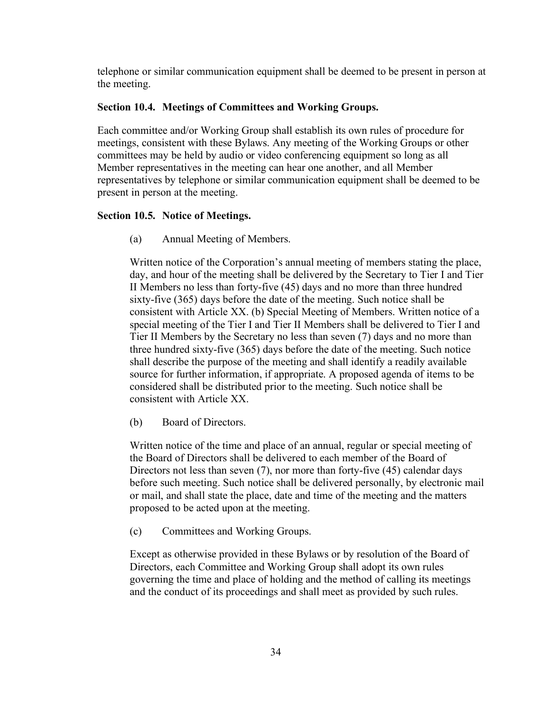telephone or similar communication equipment shall be deemed to be present in person at the meeting.

### <span id="page-39-0"></span>**Section 10.4. Meetings of Committees and Working Groups.**

Each committee and/or Working Group shall establish its own rules of procedure for meetings, consistent with these Bylaws. Any meeting of the Working Groups or other committees may be held by audio or video conferencing equipment so long as all Member representatives in the meeting can hear one another, and all Member representatives by telephone or similar communication equipment shall be deemed to be present in person at the meeting.

## <span id="page-39-1"></span>**Section 10.5. Notice of Meetings.**

(a) Annual Meeting of Members.

Written notice of the Corporation's annual meeting of members stating the place, day, and hour of the meeting shall be delivered by the Secretary to Tier I and Tier II Members no less than forty-five (45) days and no more than three hundred sixty-five (365) days before the date of the meeting. Such notice shall be consistent with Article XX. (b) Special Meeting of Members. Written notice of a special meeting of the Tier I and Tier II Members shall be delivered to Tier I and Tier II Members by the Secretary no less than seven (7) days and no more than three hundred sixty-five (365) days before the date of the meeting. Such notice shall describe the purpose of the meeting and shall identify a readily available source for further information, if appropriate. A proposed agenda of items to be considered shall be distributed prior to the meeting. Such notice shall be consistent with Article XX.

(b) Board of Directors.

Written notice of the time and place of an annual, regular or special meeting of the Board of Directors shall be delivered to each member of the Board of Directors not less than seven (7), nor more than forty-five (45) calendar days before such meeting. Such notice shall be delivered personally, by electronic mail or mail, and shall state the place, date and time of the meeting and the matters proposed to be acted upon at the meeting.

(c) Committees and Working Groups.

Except as otherwise provided in these Bylaws or by resolution of the Board of Directors, each Committee and Working Group shall adopt its own rules governing the time and place of holding and the method of calling its meetings and the conduct of its proceedings and shall meet as provided by such rules.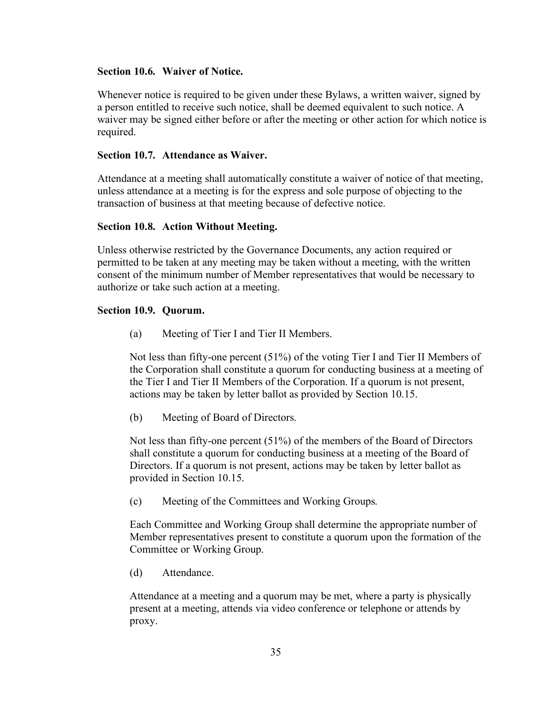### <span id="page-40-0"></span>**Section 10.6. Waiver of Notice.**

Whenever notice is required to be given under these Bylaws, a written waiver, signed by a person entitled to receive such notice, shall be deemed equivalent to such notice. A waiver may be signed either before or after the meeting or other action for which notice is required.

#### <span id="page-40-1"></span>**Section 10.7. Attendance as Waiver.**

Attendance at a meeting shall automatically constitute a waiver of notice of that meeting, unless attendance at a meeting is for the express and sole purpose of objecting to the transaction of business at that meeting because of defective notice.

#### <span id="page-40-2"></span>**Section 10.8. Action Without Meeting.**

Unless otherwise restricted by the Governance Documents, any action required or permitted to be taken at any meeting may be taken without a meeting, with the written consent of the minimum number of Member representatives that would be necessary to authorize or take such action at a meeting.

#### <span id="page-40-3"></span>**Section 10.9. Quorum.**

(a) Meeting of Tier I and Tier II Members.

Not less than fifty-one percent (51%) of the voting Tier I and Tier II Members of the Corporation shall constitute a quorum for conducting business at a meeting of the Tier I and Tier II Members of the Corporation. If a quorum is not present, actions may be taken by letter ballot as provided by Section 10.15.

(b) Meeting of Board of Directors.

Not less than fifty-one percent (51%) of the members of the Board of Directors shall constitute a quorum for conducting business at a meeting of the Board of Directors. If a quorum is not present, actions may be taken by letter ballot as provided in Section 10.15.

(c) Meeting of the Committees and Working Groups.

Each Committee and Working Group shall determine the appropriate number of Member representatives present to constitute a quorum upon the formation of the Committee or Working Group.

(d) Attendance.

Attendance at a meeting and a quorum may be met, where a party is physically present at a meeting, attends via video conference or telephone or attends by proxy.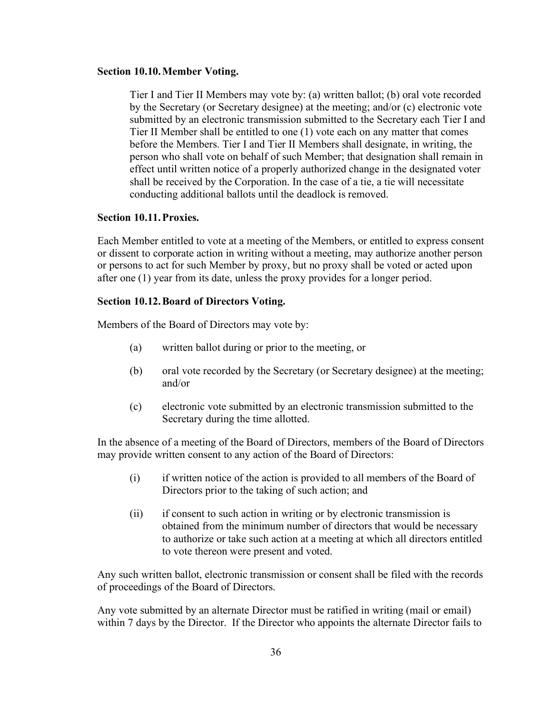#### <span id="page-41-0"></span>**Section 10.10.Member Voting.**

Tier I and Tier II Members may vote by: (a) written ballot; (b) oral vote recorded by the Secretary (or Secretary designee) at the meeting; and/or (c) electronic vote submitted by an electronic transmission submitted to the Secretary each Tier I and Tier II Member shall be entitled to one (1) vote each on any matter that comes before the Members. Tier I and Tier II Members shall designate, in writing, the person who shall vote on behalf of such Member; that designation shall remain in effect until written notice of a properly authorized change in the designated voter shall be received by the Corporation. In the case of a tie, a tie will necessitate conducting additional ballots until the deadlock is removed.

### <span id="page-41-1"></span>**Section 10.11.Proxies.**

Each Member entitled to vote at a meeting of the Members, or entitled to express consent or dissent to corporate action in writing without a meeting, may authorize another person or persons to act for such Member by proxy, but no proxy shall be voted or acted upon after one (1) year from its date, unless the proxy provides for a longer period.

#### <span id="page-41-2"></span>**Section 10.12.Board of Directors Voting.**

Members of the Board of Directors may vote by:

- (a) written ballot during or prior to the meeting, or
- (b) oral vote recorded by the Secretary (or Secretary designee) at the meeting; and/or
- (c) electronic vote submitted by an electronic transmission submitted to the Secretary during the time allotted.

In the absence of a meeting of the Board of Directors, members of the Board of Directors may provide written consent to any action of the Board of Directors:

- (i) if written notice of the action is provided to all members of the Board of Directors prior to the taking of such action; and
- (ii) if consent to such action in writing or by electronic transmission is obtained from the minimum number of directors that would be necessary to authorize or take such action at a meeting at which all directors entitled to vote thereon were present and voted.

Any such written ballot, electronic transmission or consent shall be filed with the records of proceedings of the Board of Directors.

Any vote submitted by an alternate Director must be ratified in writing (mail or email) within 7 days by the Director. If the Director who appoints the alternate Director fails to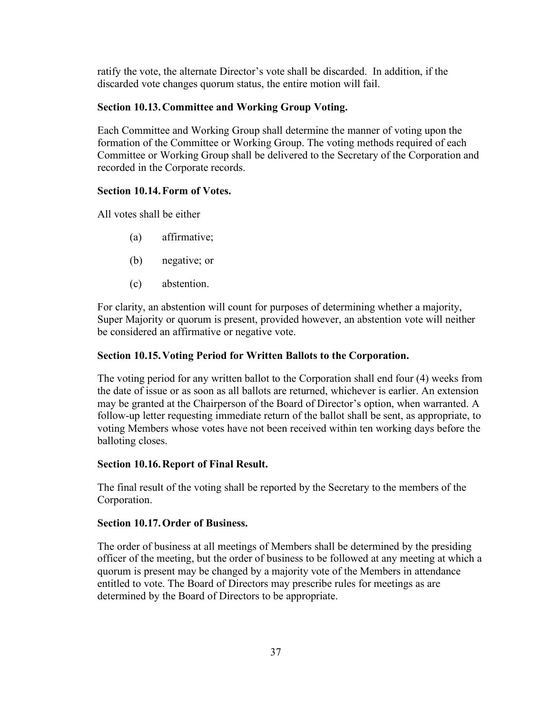ratify the vote, the alternate Director's vote shall be discarded. In addition, if the discarded vote changes quorum status, the entire motion will fail.

## <span id="page-42-0"></span>**Section 10.13.Committee and Working Group Voting.**

Each Committee and Working Group shall determine the manner of voting upon the formation of the Committee or Working Group. The voting methods required of each Committee or Working Group shall be delivered to the Secretary of the Corporation and recorded in the Corporate records.

### <span id="page-42-1"></span>**Section 10.14.Form of Votes.**

All votes shall be either

- (a) affirmative;
- (b) negative; or
- (c) abstention.

For clarity, an abstention will count for purposes of determining whether a majority, Super Majority or quorum is present, provided however, an abstention vote will neither be considered an affirmative or negative vote.

## <span id="page-42-2"></span>**Section 10.15.Voting Period for Written Ballots to the Corporation.**

The voting period for any written ballot to the Corporation shall end four (4) weeks from the date of issue or as soon as all ballots are returned, whichever is earlier. An extension may be granted at the Chairperson of the Board of Director's option, when warranted. A follow-up letter requesting immediate return of the ballot shall be sent, as appropriate, to voting Members whose votes have not been received within ten working days before the balloting closes.

### <span id="page-42-3"></span>**Section 10.16.Report of Final Result.**

The final result of the voting shall be reported by the Secretary to the members of the Corporation.

### <span id="page-42-4"></span>**Section 10.17.Order of Business.**

The order of business at all meetings of Members shall be determined by the presiding officer of the meeting, but the order of business to be followed at any meeting at which a quorum is present may be changed by a majority vote of the Members in attendance entitled to vote. The Board of Directors may prescribe rules for meetings as are determined by the Board of Directors to be appropriate.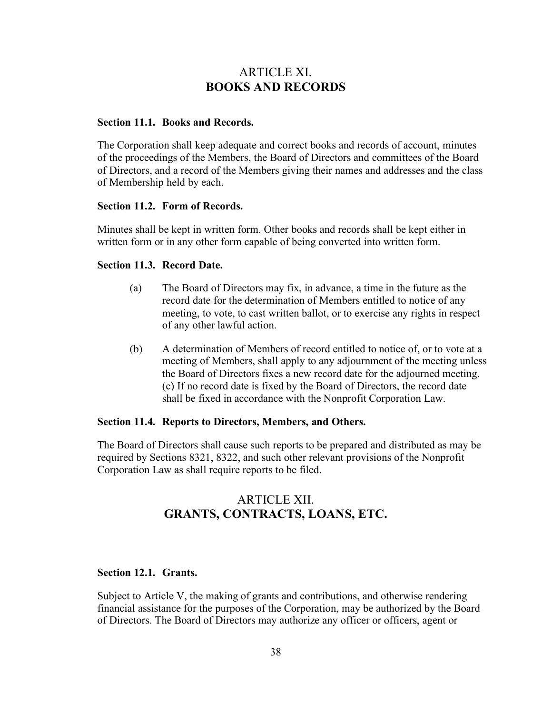## ARTICLE XI. **BOOKS AND RECORDS**

## <span id="page-43-1"></span><span id="page-43-0"></span>**Section 11.1. Books and Records.**

The Corporation shall keep adequate and correct books and records of account, minutes of the proceedings of the Members, the Board of Directors and committees of the Board of Directors, and a record of the Members giving their names and addresses and the class of Membership held by each.

#### <span id="page-43-2"></span>**Section 11.2. Form of Records.**

Minutes shall be kept in written form. Other books and records shall be kept either in written form or in any other form capable of being converted into written form.

#### <span id="page-43-3"></span>**Section 11.3. Record Date.**

- (a) The Board of Directors may fix, in advance, a time in the future as the record date for the determination of Members entitled to notice of any meeting, to vote, to cast written ballot, or to exercise any rights in respect of any other lawful action.
- (b) A determination of Members of record entitled to notice of, or to vote at a meeting of Members, shall apply to any adjournment of the meeting unless the Board of Directors fixes a new record date for the adjourned meeting. (c) If no record date is fixed by the Board of Directors, the record date shall be fixed in accordance with the Nonprofit Corporation Law.

#### <span id="page-43-4"></span>**Section 11.4. Reports to Directors, Members, and Others.**

The Board of Directors shall cause such reports to be prepared and distributed as may be required by Sections 8321, 8322, and such other relevant provisions of the Nonprofit Corporation Law as shall require reports to be filed.

## ARTICLE XII. **GRANTS, CONTRACTS, LOANS, ETC.**

### <span id="page-43-6"></span><span id="page-43-5"></span>**Section 12.1. Grants.**

Subject to Article V, the making of grants and contributions, and otherwise rendering financial assistance for the purposes of the Corporation, may be authorized by the Board of Directors. The Board of Directors may authorize any officer or officers, agent or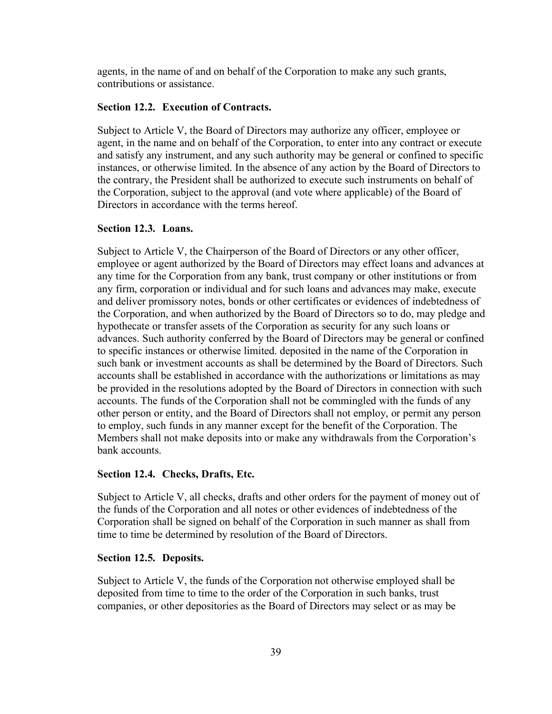agents, in the name of and on behalf of the Corporation to make any such grants, contributions or assistance.

#### <span id="page-44-0"></span>**Section 12.2. Execution of Contracts.**

Subject to Article V, the Board of Directors may authorize any officer, employee or agent, in the name and on behalf of the Corporation, to enter into any contract or execute and satisfy any instrument, and any such authority may be general or confined to specific instances, or otherwise limited. In the absence of any action by the Board of Directors to the contrary, the President shall be authorized to execute such instruments on behalf of the Corporation, subject to the approval (and vote where applicable) of the Board of Directors in accordance with the terms hereof.

### <span id="page-44-1"></span>**Section 12.3. Loans.**

Subject to Article V, the Chairperson of the Board of Directors or any other officer, employee or agent authorized by the Board of Directors may effect loans and advances at any time for the Corporation from any bank, trust company or other institutions or from any firm, corporation or individual and for such loans and advances may make, execute and deliver promissory notes, bonds or other certificates or evidences of indebtedness of the Corporation, and when authorized by the Board of Directors so to do, may pledge and hypothecate or transfer assets of the Corporation as security for any such loans or advances. Such authority conferred by the Board of Directors may be general or confined to specific instances or otherwise limited. deposited in the name of the Corporation in such bank or investment accounts as shall be determined by the Board of Directors. Such accounts shall be established in accordance with the authorizations or limitations as may be provided in the resolutions adopted by the Board of Directors in connection with such accounts. The funds of the Corporation shall not be commingled with the funds of any other person or entity, and the Board of Directors shall not employ, or permit any person to employ, such funds in any manner except for the benefit of the Corporation. The Members shall not make deposits into or make any withdrawals from the Corporation's bank accounts.

#### <span id="page-44-2"></span>**Section 12.4. Checks, Drafts, Etc.**

Subject to Article V, all checks, drafts and other orders for the payment of money out of the funds of the Corporation and all notes or other evidences of indebtedness of the Corporation shall be signed on behalf of the Corporation in such manner as shall from time to time be determined by resolution of the Board of Directors.

#### <span id="page-44-3"></span>**Section 12.5. Deposits.**

Subject to Article V, the funds of the Corporation not otherwise employed shall be deposited from time to time to the order of the Corporation in such banks, trust companies, or other depositories as the Board of Directors may select or as may be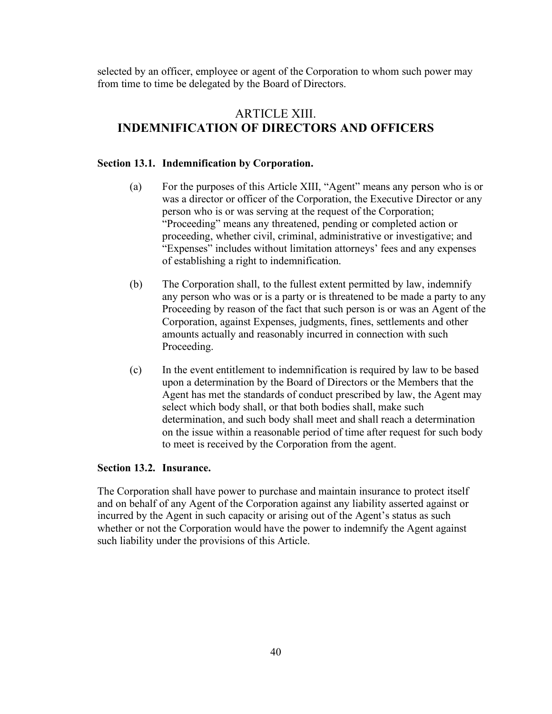selected by an officer, employee or agent of the Corporation to whom such power may from time to time be delegated by the Board of Directors.

## ARTICLE XIII. **INDEMNIFICATION OF DIRECTORS AND OFFICERS**

### <span id="page-45-1"></span><span id="page-45-0"></span>**Section 13.1. Indemnification by Corporation.**

- (a) For the purposes of this Article XIII, "Agent" means any person who is or was a director or officer of the Corporation, the Executive Director or any person who is or was serving at the request of the Corporation; "Proceeding" means any threatened, pending or completed action or proceeding, whether civil, criminal, administrative or investigative; and "Expenses" includes without limitation attorneys' fees and any expenses of establishing a right to indemnification.
- (b) The Corporation shall, to the fullest extent permitted by law, indemnify any person who was or is a party or is threatened to be made a party to any Proceeding by reason of the fact that such person is or was an Agent of the Corporation, against Expenses, judgments, fines, settlements and other amounts actually and reasonably incurred in connection with such Proceeding.
- (c) In the event entitlement to indemnification is required by law to be based upon a determination by the Board of Directors or the Members that the Agent has met the standards of conduct prescribed by law, the Agent may select which body shall, or that both bodies shall, make such determination, and such body shall meet and shall reach a determination on the issue within a reasonable period of time after request for such body to meet is received by the Corporation from the agent.

## <span id="page-45-2"></span>**Section 13.2. Insurance.**

The Corporation shall have power to purchase and maintain insurance to protect itself and on behalf of any Agent of the Corporation against any liability asserted against or incurred by the Agent in such capacity or arising out of the Agent's status as such whether or not the Corporation would have the power to indemnify the Agent against such liability under the provisions of this Article.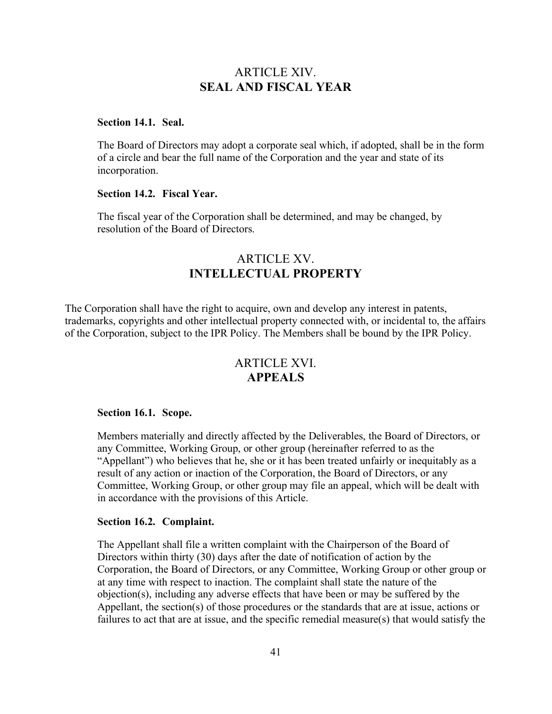## ARTICLE XIV. **SEAL AND FISCAL YEAR**

#### <span id="page-46-1"></span><span id="page-46-0"></span>**Section 14.1. Seal.**

The Board of Directors may adopt a corporate seal which, if adopted, shall be in the form of a circle and bear the full name of the Corporation and the year and state of its incorporation.

## <span id="page-46-2"></span>**Section 14.2. Fiscal Year.**

The fiscal year of the Corporation shall be determined, and may be changed, by resolution of the Board of Directors.

## ARTICLE XV. **INTELLECTUAL PROPERTY**

<span id="page-46-3"></span>The Corporation shall have the right to acquire, own and develop any interest in patents, trademarks, copyrights and other intellectual property connected with, or incidental to, the affairs of the Corporation, subject to the IPR Policy. The Members shall be bound by the IPR Policy.

## ARTICLE XVI. **APPEALS**

#### <span id="page-46-5"></span><span id="page-46-4"></span>**Section 16.1. Scope.**

Members materially and directly affected by the Deliverables, the Board of Directors, or any Committee, Working Group, or other group (hereinafter referred to as the "Appellant") who believes that he, she or it has been treated unfairly or inequitably as a result of any action or inaction of the Corporation, the Board of Directors, or any Committee, Working Group, or other group may file an appeal, which will be dealt with in accordance with the provisions of this Article.

#### <span id="page-46-6"></span>**Section 16.2. Complaint.**

The Appellant shall file a written complaint with the Chairperson of the Board of Directors within thirty (30) days after the date of notification of action by the Corporation, the Board of Directors, or any Committee, Working Group or other group or at any time with respect to inaction. The complaint shall state the nature of the objection(s), including any adverse effects that have been or may be suffered by the Appellant, the section(s) of those procedures or the standards that are at issue, actions or failures to act that are at issue, and the specific remedial measure(s) that would satisfy the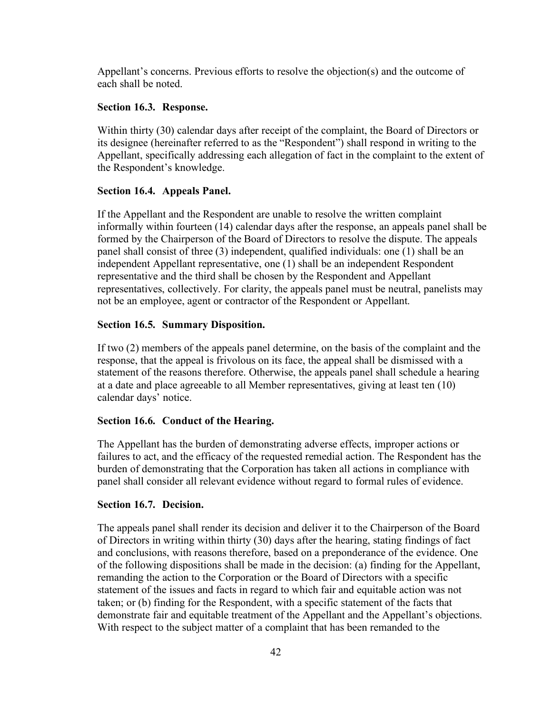Appellant's concerns. Previous efforts to resolve the objection(s) and the outcome of each shall be noted.

#### <span id="page-47-0"></span>**Section 16.3. Response.**

Within thirty (30) calendar days after receipt of the complaint, the Board of Directors or its designee (hereinafter referred to as the "Respondent") shall respond in writing to the Appellant, specifically addressing each allegation of fact in the complaint to the extent of the Respondent's knowledge.

### <span id="page-47-1"></span>**Section 16.4. Appeals Panel.**

If the Appellant and the Respondent are unable to resolve the written complaint informally within fourteen (14) calendar days after the response, an appeals panel shall be formed by the Chairperson of the Board of Directors to resolve the dispute. The appeals panel shall consist of three (3) independent, qualified individuals: one (1) shall be an independent Appellant representative, one (1) shall be an independent Respondent representative and the third shall be chosen by the Respondent and Appellant representatives, collectively. For clarity, the appeals panel must be neutral, panelists may not be an employee, agent or contractor of the Respondent or Appellant.

## <span id="page-47-2"></span>**Section 16.5. Summary Disposition.**

If two (2) members of the appeals panel determine, on the basis of the complaint and the response, that the appeal is frivolous on its face, the appeal shall be dismissed with a statement of the reasons therefore. Otherwise, the appeals panel shall schedule a hearing at a date and place agreeable to all Member representatives, giving at least ten (10) calendar days' notice.

## <span id="page-47-3"></span>**Section 16.6. Conduct of the Hearing.**

The Appellant has the burden of demonstrating adverse effects, improper actions or failures to act, and the efficacy of the requested remedial action. The Respondent has the burden of demonstrating that the Corporation has taken all actions in compliance with panel shall consider all relevant evidence without regard to formal rules of evidence.

### <span id="page-47-4"></span>**Section 16.7. Decision.**

The appeals panel shall render its decision and deliver it to the Chairperson of the Board of Directors in writing within thirty (30) days after the hearing, stating findings of fact and conclusions, with reasons therefore, based on a preponderance of the evidence. One of the following dispositions shall be made in the decision: (a) finding for the Appellant, remanding the action to the Corporation or the Board of Directors with a specific statement of the issues and facts in regard to which fair and equitable action was not taken; or (b) finding for the Respondent, with a specific statement of the facts that demonstrate fair and equitable treatment of the Appellant and the Appellant's objections. With respect to the subject matter of a complaint that has been remanded to the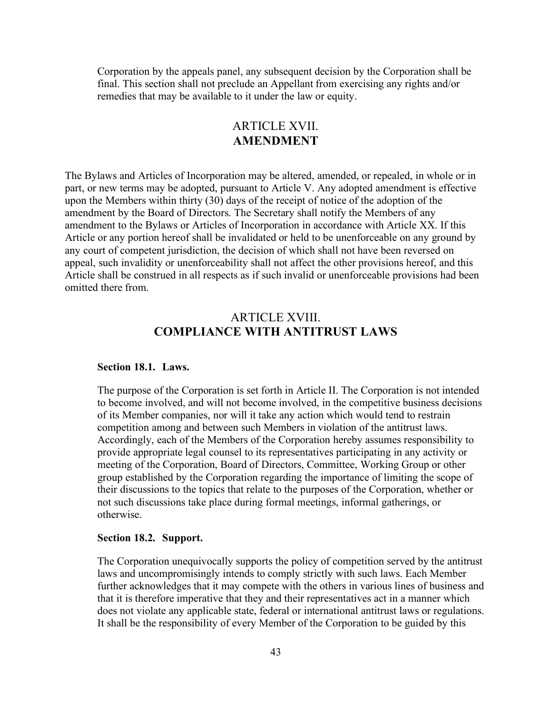Corporation by the appeals panel, any subsequent decision by the Corporation shall be final. This section shall not preclude an Appellant from exercising any rights and/or remedies that may be available to it under the law or equity.

## ARTICLE XVII. **AMENDMENT**

<span id="page-48-0"></span>The Bylaws and Articles of Incorporation may be altered, amended, or repealed, in whole or in part, or new terms may be adopted, pursuant to Article V. Any adopted amendment is effective upon the Members within thirty (30) days of the receipt of notice of the adoption of the amendment by the Board of Directors. The Secretary shall notify the Members of any amendment to the Bylaws or Articles of Incorporation in accordance with Article XX. If this Article or any portion hereof shall be invalidated or held to be unenforceable on any ground by any court of competent jurisdiction, the decision of which shall not have been reversed on appeal, such invalidity or unenforceability shall not affect the other provisions hereof, and this Article shall be construed in all respects as if such invalid or unenforceable provisions had been omitted there from.

## ARTICLE XVIII. **COMPLIANCE WITH ANTITRUST LAWS**

#### <span id="page-48-2"></span><span id="page-48-1"></span>**Section 18.1. Laws.**

The purpose of the Corporation is set forth in Article II. The Corporation is not intended to become involved, and will not become involved, in the competitive business decisions of its Member companies, nor will it take any action which would tend to restrain competition among and between such Members in violation of the antitrust laws. Accordingly, each of the Members of the Corporation hereby assumes responsibility to provide appropriate legal counsel to its representatives participating in any activity or meeting of the Corporation, Board of Directors, Committee, Working Group or other group established by the Corporation regarding the importance of limiting the scope of their discussions to the topics that relate to the purposes of the Corporation, whether or not such discussions take place during formal meetings, informal gatherings, or otherwise.

#### <span id="page-48-3"></span>**Section 18.2. Support.**

The Corporation unequivocally supports the policy of competition served by the antitrust laws and uncompromisingly intends to comply strictly with such laws. Each Member further acknowledges that it may compete with the others in various lines of business and that it is therefore imperative that they and their representatives act in a manner which does not violate any applicable state, federal or international antitrust laws or regulations. It shall be the responsibility of every Member of the Corporation to be guided by this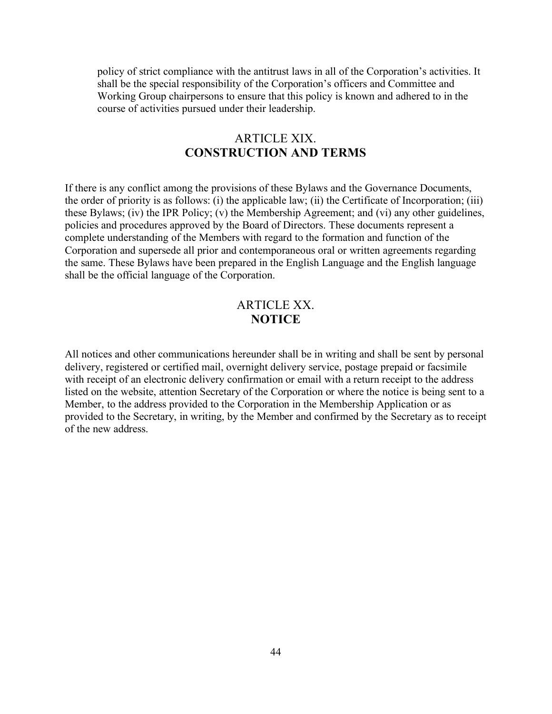policy of strict compliance with the antitrust laws in all of the Corporation's activities. It shall be the special responsibility of the Corporation's officers and Committee and Working Group chairpersons to ensure that this policy is known and adhered to in the course of activities pursued under their leadership.

## ARTICLE XIX. **CONSTRUCTION AND TERMS**

<span id="page-49-0"></span>If there is any conflict among the provisions of these Bylaws and the Governance Documents, the order of priority is as follows: (i) the applicable law; (ii) the Certificate of Incorporation; (iii) these Bylaws; (iv) the IPR Policy; (v) the Membership Agreement; and (vi) any other guidelines, policies and procedures approved by the Board of Directors. These documents represent a complete understanding of the Members with regard to the formation and function of the Corporation and supersede all prior and contemporaneous oral or written agreements regarding the same. These Bylaws have been prepared in the English Language and the English language shall be the official language of the Corporation.

## ARTICLE XX. **NOTICE**

<span id="page-49-1"></span>All notices and other communications hereunder shall be in writing and shall be sent by personal delivery, registered or certified mail, overnight delivery service, postage prepaid or facsimile with receipt of an electronic delivery confirmation or email with a return receipt to the address listed on the website, attention Secretary of the Corporation or where the notice is being sent to a Member, to the address provided to the Corporation in the Membership Application or as provided to the Secretary, in writing, by the Member and confirmed by the Secretary as to receipt of the new address.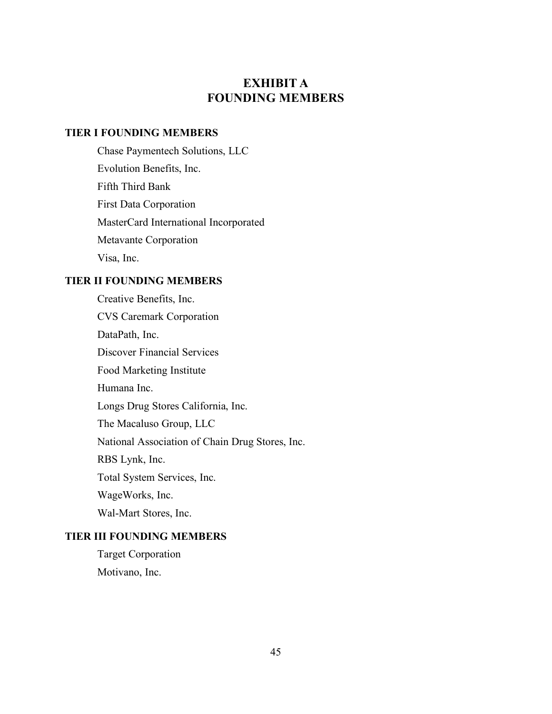## **EXHIBIT A FOUNDING MEMBERS**

## <span id="page-50-0"></span>**TIER I FOUNDING MEMBERS**

Chase Paymentech Solutions, LLC Evolution Benefits, Inc. Fifth Third Bank First Data Corporation MasterCard International Incorporated Metavante Corporation Visa, Inc.

### **TIER II FOUNDING MEMBERS**

Creative Benefits, Inc. CVS Caremark Corporation DataPath, Inc. Discover Financial Services Food Marketing Institute Humana Inc. Longs Drug Stores California, Inc. The Macaluso Group, LLC National Association of Chain Drug Stores, Inc. RBS Lynk, Inc. Total System Services, Inc. WageWorks, Inc. Wal-Mart Stores, Inc.

## **TIER III FOUNDING MEMBERS**

Target Corporation Motivano, Inc.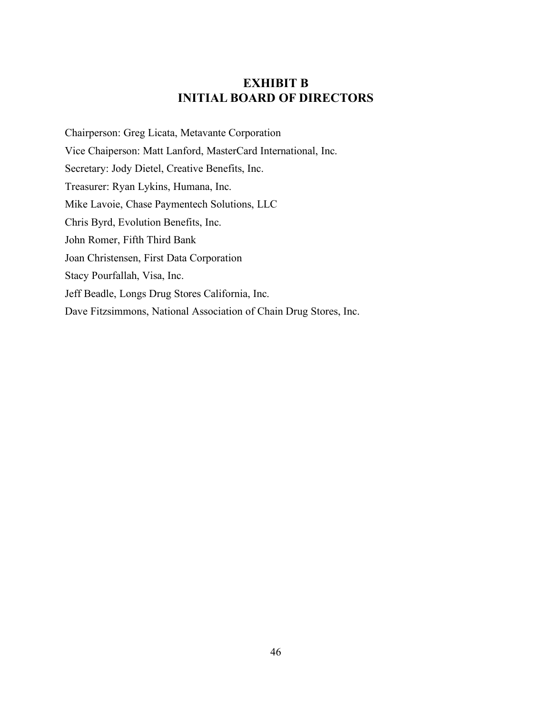## **EXHIBIT B INITIAL BOARD OF DIRECTORS**

<span id="page-51-0"></span>Chairperson: Greg Licata, Metavante Corporation Vice Chaiperson: Matt Lanford, MasterCard International, Inc. Secretary: Jody Dietel, Creative Benefits, Inc. Treasurer: Ryan Lykins, Humana, Inc. Mike Lavoie, Chase Paymentech Solutions, LLC Chris Byrd, Evolution Benefits, Inc. John Romer, Fifth Third Bank Joan Christensen, First Data Corporation Stacy Pourfallah, Visa, Inc. Jeff Beadle, Longs Drug Stores California, Inc. Dave Fitzsimmons, National Association of Chain Drug Stores, Inc.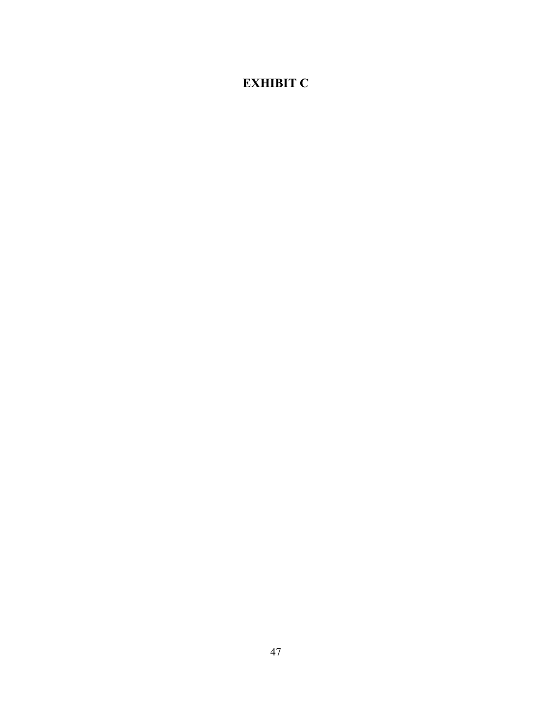# <span id="page-52-0"></span>**EXHIBIT C**